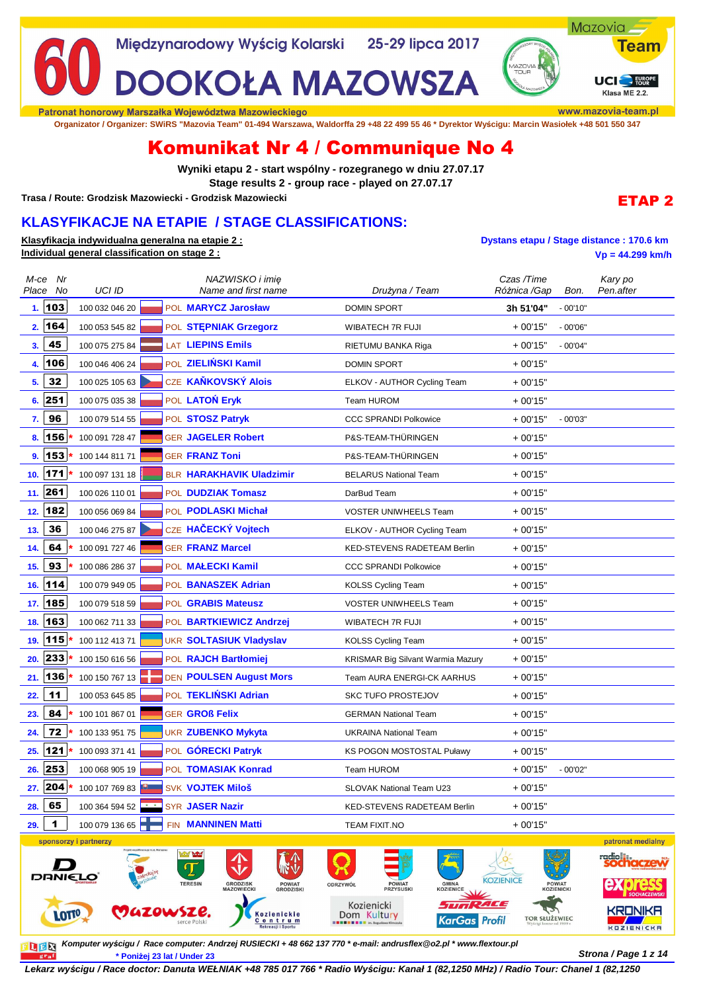

**Organizator / Organizer: SWiRS "Mazovia Team" 01-494 Warszawa, Waldorffa 29 +48 22 499 55 46 \* Dyrektor Wyścigu: Marcin Wasiołek +48 501 550 347**

# Komunikat Nr 4 / Communique No 4

**Wyniki etapu 2 - start wspólny - rozegranego w dniu 27.07.17 Stage results 2 - group race - played on 27.07.17**

**Trasa / Route: Grodzisk Mazowiecki - Grodzisk Mazowiecki**

## **KLASYFIKACJE NA ETAPIE / STAGE CLASSIFICATIONS:**

**Klasyfikacja indywidualna generalna na etapie 2 : Dystans etapu / Stage distance : 170.6 km Individual general classification on stage 2 : Vp = 44.299 km/h**

ETAP 2

| M-ce Nr<br>Place No | UCI ID                |                           | NAZWISKO i imię<br>Name and first name                                                     | Drużyna / Team                                                                                | Czas /Time<br>Różnica /Gap | Bon.                 | Kary po<br>Pen.after         |
|---------------------|-----------------------|---------------------------|--------------------------------------------------------------------------------------------|-----------------------------------------------------------------------------------------------|----------------------------|----------------------|------------------------------|
| 1.103               | 100 032 046 20        |                           | POL MARYCZ Jarosław                                                                        | <b>DOMIN SPORT</b>                                                                            | 3h 51'04"                  | $-00'10"$            |                              |
| 164<br>2.           | 100 053 545 82        |                           | POL STEPNIAK Grzegorz                                                                      | WIBATECH 7R FUJI                                                                              | $+00'15"$                  | $-00'06"$            |                              |
| 45<br>3.            | 100 075 275 84        |                           | <b>LAT LIEPINS Emils</b>                                                                   | RIETUMU BANKA Riga                                                                            | $+00'15"$                  | $-00'04"$            |                              |
| 106<br>4.           | 100 046 406 24        |                           | POL ZIELIŃSKI Kamil                                                                        | <b>DOMIN SPORT</b>                                                                            | $+00'15"$                  |                      |                              |
| 32<br>5.            | 100 025 105 63        |                           | CZE KAŇKOVSKÝ Alois                                                                        | ELKOV - AUTHOR Cycling Team                                                                   | $+00'15"$                  |                      |                              |
| 6.251               | 100 075 035 38        |                           | POL LATOŃ Eryk                                                                             | <b>Team HUROM</b>                                                                             | $+00'15"$                  |                      |                              |
| 96<br>7.            | 100 079 514 55        |                           | POL STOSZ Patryk                                                                           | <b>CCC SPRANDI Polkowice</b>                                                                  | $+00'15"$                  | $-00'03"$            |                              |
| 156<br>8.           | 100 091 728 47        |                           | <b>GER JAGELER Robert</b>                                                                  | P&S-TEAM-THÜRINGEN                                                                            | + 00'15"                   |                      |                              |
| 153<br>9.           | 100 144 811 71        |                           | <b>GER FRANZ Toni</b>                                                                      | P&S-TEAM-THÜRINGEN                                                                            | $+00'15"$                  |                      |                              |
| 171<br>10.          | 100 097 131 18        |                           | <b>BLR HARAKHAVIK Uladzimir</b>                                                            | <b>BELARUS National Team</b>                                                                  | $+00'15"$                  |                      |                              |
| 11. 261             | 100 026 110 01        |                           | POL DUDZIAK Tomasz                                                                         | DarBud Team                                                                                   | $+00'15"$                  |                      |                              |
| 182<br>12.          | 100 056 069 84        |                           | POL PODLASKI Michał                                                                        | <b>VOSTER UNIWHEELS Team</b>                                                                  | $+00'15"$                  |                      |                              |
| 36<br>13.           | 100 046 275 87        |                           | CZE HAČECKÝ Vojtech                                                                        | ELKOV - AUTHOR Cycling Team                                                                   | $+00'15"$                  |                      |                              |
| 64<br>14.           | 100 091 727 46        |                           | <b>GER FRANZ Marcel</b>                                                                    | KED-STEVENS RADETEAM Berlin                                                                   | $+00'15"$                  |                      |                              |
| 93<br>15.           | 100 086 286 37        |                           | POL <b>MAŁECKI Kamil</b>                                                                   | <b>CCC SPRANDI Polkowice</b>                                                                  | $+00'15"$                  |                      |                              |
| 16. 114             | 100 079 949 05        |                           | POL BANASZEK Adrian                                                                        | <b>KOLSS Cycling Team</b>                                                                     | + 00'15"                   |                      |                              |
| 185<br>17.          | 100 079 518 59        |                           | POL GRABIS Mateusz                                                                         | <b>VOSTER UNIWHEELS Team</b>                                                                  | $+00'15"$                  |                      |                              |
| 163<br>18.          | 100 062 711 33        |                           | POL BARTKIEWICZ Andrzej                                                                    | WIBATECH 7R FUJI                                                                              | + 00'15"                   |                      |                              |
| 115<br>19.          | 100 112 413 71        |                           | <b>UKR SOLTASIUK Vladyslav</b>                                                             | <b>KOLSS Cycling Team</b>                                                                     | $+00'15"$                  |                      |                              |
| 233<br>20.          | 100 150 616 56        |                           | POL RAJCH Bartłomiej                                                                       | <b>KRISMAR Big Silvant Warmia Mazury</b>                                                      | $+00'15"$                  |                      |                              |
| 21. 136             | 100 150 767 13        |                           | <b>DEN POULSEN August Mors</b>                                                             | Team AURA ENERGI-CK AARHUS                                                                    | $+00'15"$                  |                      |                              |
| 11<br>22.           | 100 053 645 85        |                           | POL TEKLIŃSKI Adrian                                                                       | <b>SKC TUFO PROSTEJOV</b>                                                                     | $+00'15"$                  |                      |                              |
| 84<br>23.           | 100 101 867 01        |                           | <b>GER GROß Felix</b>                                                                      | <b>GERMAN National Team</b>                                                                   | + 00'15"                   |                      |                              |
| 72<br>24.           | 100 133 951 75        |                           | <b>UKR ZUBENKO Mykyta</b>                                                                  | <b>UKRAINA National Team</b>                                                                  | $+00'15"$                  |                      |                              |
| 121<br>25.          | 100 093 371 41        |                           | POL GÓRECKI Patryk                                                                         | <b>KS POGON MOSTOSTAL Puławy</b>                                                              | $+00'15"$                  |                      |                              |
| 253<br>26.          | 100 068 905 19        |                           | POL TOMASIAK Konrad                                                                        | <b>Team HUROM</b>                                                                             | $+00'15"$                  | $-00'02"$            |                              |
| 204<br>27.          | 100 107 769 83        |                           | <b>SVK VOJTEK Miloš</b>                                                                    | <b>SLOVAK National Team U23</b>                                                               | $+00'15"$                  |                      |                              |
| 65<br>28.           | 100 364 594 52        | $\mathbf{x}=\mathbf{x}$ . | SYR JASER Nazir                                                                            | <b>KED-STEVENS RADETEAM Berlin</b>                                                            | $+00'15"$                  |                      |                              |
| 1<br>29.            | 100 079 136 65        | FIN                       | <b>MANNINEN Matti</b>                                                                      | <b>TEAM FIXIT.NO</b>                                                                          | $+00'15"$                  |                      |                              |
|                     | sponsorzy i partnerzy | suje m.st. Warszawi       |                                                                                            |                                                                                               |                            |                      | patronat medialny            |
| DANIELO             |                       |                           | of Albert<br><b>GRODZISK</b><br><b>TERESIN</b><br>POWIAT<br>GRODZISKI<br><b>MAZOWIECKI</b> | <b>GMINA</b><br>POWIAT<br>PRZYSUSKI<br>ODRZYWÓŁ<br><b>KOZIENICE</b><br>Kozienicki<br>- 777 77 | <b>KOZIENICE</b><br>ZI CE  | POWIAT<br>KOZIENICKI | <b>SOCHACZEWSK</b>           |
| <b>LOTTO</b>        |                       | <b>MAZOWSZE</b>           | <b>Kozienickie</b><br>Centrum<br>Rekreacji i Sportu                                        | Dom Kultury<br><b>KarGas Profil</b>                                                           | <b>TOR SŁUŻEWIEC</b>       |                      | KRONIKA<br><b>KOZIENICKA</b> |

**Komputer wyścigu / Race computer: Andrzej RUSIECKI + 48 662 137 770 \* e-mail: andrusflex@o2.pl \* www.flextour.pl Strona / Page 1 z 14 \* Poniżej 23 lat / Under 23** graf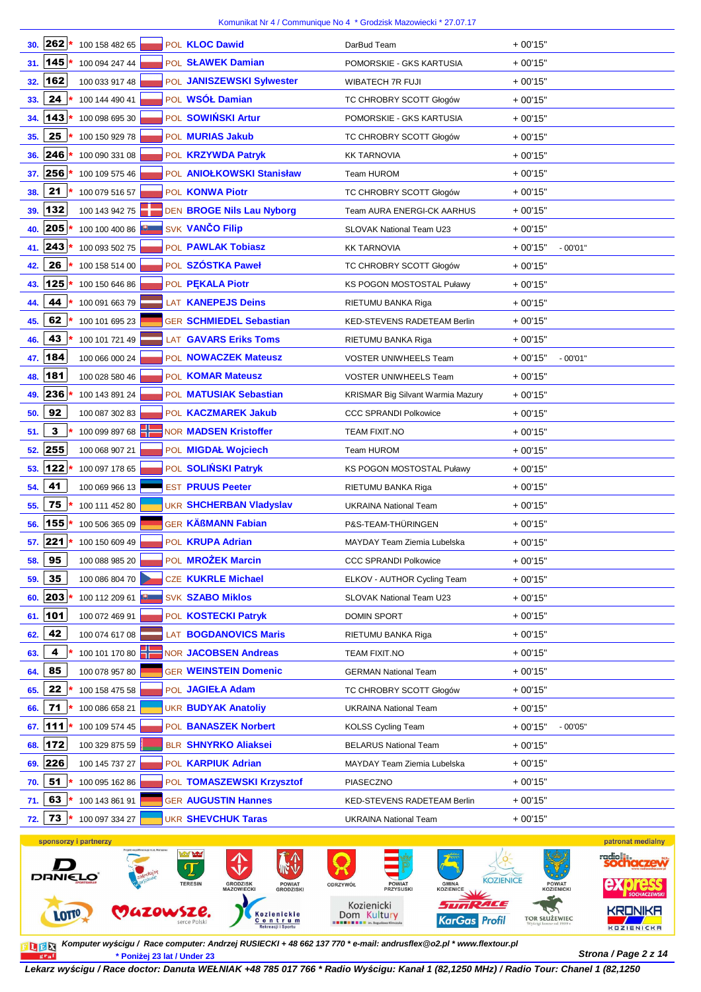| 262<br>POL KLOC Dawid<br>100 158 482 65<br>30.                                         | DarBud Team                             | $+00'15"$              |
|----------------------------------------------------------------------------------------|-----------------------------------------|------------------------|
| 31. 145<br>100 094 247 44<br>POL SŁAWEK Damian                                         | POMORSKIE - GKS KARTUSIA                | $+00'15"$              |
| 162<br>POL JANISZEWSKI Sylwester<br>100 033 917 48<br>32.                              | <b>WIBATECH 7R FUJI</b>                 | $+00'15"$              |
| 24<br>POL WSÓŁ Damian<br>100 144 490 41<br>33.                                         | TC CHROBRY SCOTT Głogów                 | $+00'15"$              |
| 143<br>POL SOWIŃSKI Artur<br>100 098 695 30<br>34.                                     | POMORSKIE - GKS KARTUSIA                | $+00'15"$              |
| 25<br>100 150 929 78<br>POL MURIAS Jakub<br>35.                                        |                                         | $+00'15"$              |
| 246<br>100 090 331 08                                                                  | TC CHROBRY SCOTT Głogów                 | $+00'15"$              |
| POL KRZYWDA Patryk<br>36.<br>256<br>POL ANIOŁKOWSKI Stanisław<br>100 109 575 46<br>37. | <b>KK TARNOVIA</b><br><b>Team HUROM</b> | $+00'15"$              |
| 21<br>100 079 516 57<br>POL KONWA Piotr<br>38.                                         | TC CHROBRY SCOTT Głogów                 | $+00'15"$              |
| 132<br>100 143 942 75<br>DEN BROGE Nils Lau Nyborg<br>39.                              | Team AURA ENERGI-CK AARHUS              | $+00'15"$              |
| SVK VANČO Filip<br>205<br>100 100 400 86<br>40.                                        | SLOVAK National Team U23                | $+00'15"$              |
| 243<br>POL PAWLAK Tobiasz<br>100 093 502 75<br>41.                                     | <b>KK TARNOVIA</b>                      | $+00'15"$<br>$-00'01"$ |
| 26<br>POL SZÓSTKA Paweł<br>100 158 514 00<br>42.                                       | TC CHROBRY SCOTT Głogów                 | $+00'15"$              |
| 125<br>POL PEKALA Piotr<br>100 150 646 86<br>43.                                       | KS POGON MOSTOSTAL Puławy               | $+00'15"$              |
| 44<br>LAT KANEPEJS Deins<br>100 091 663 79                                             |                                         | $+00'15"$              |
| 44.                                                                                    | RIETUMU BANKA Riga                      |                        |
| 62<br>100 101 695 23<br><b>GER SCHMIEDEL Sebastian</b><br>45.                          | <b>KED-STEVENS RADETEAM Berlin</b>      | $+00'15"$              |
| 43<br>LAT GAVARS Eriks Toms<br>100 101 721 49<br>46.                                   | RIETUMU BANKA Riga                      | $+00'15"$              |
| 47. 184<br>100 066 000 24<br>POL NOWACZEK Mateusz                                      | <b>VOSTER UNIWHEELS Team</b>            | $+00'15"$<br>$-00'01"$ |
| 181<br>POL KOMAR Mateusz<br>100 028 580 46<br>48.                                      | <b>VOSTER UNIWHEELS Team</b>            | $+00'15"$              |
| 236<br>100 143 891 24<br>POL MATUSIAK Sebastian<br>49.                                 | KRISMAR Big Silvant Warmia Mazury       | $+00'15"$              |
| 92<br>100 087 302 83<br>POL KACZMAREK Jakub<br>50.                                     | <b>CCC SPRANDI Polkowice</b>            | $+00'15"$              |
| 3<br>100 099 897 68<br><b>NOR MADSEN Kristoffer</b><br>51.                             | <b>TEAM FIXIT.NO</b>                    | $+00'15"$              |
| 52. 255<br>POL MIGDAŁ Wojciech<br>100 068 907 21                                       | <b>Team HUROM</b>                       | $+00'15"$              |
| 122<br>100 097 178 65<br>POL SOLIŃSKI Patryk<br>53.                                    | KS POGON MOSTOSTAL Puławy               | $+00'15"$              |
| 41<br><b>EST PRUUS Peeter</b><br>100 069 966 13<br>54.                                 | RIETUMU BANKA Riga                      | $+00'15"$              |
| 75<br><b>UKR SHCHERBAN Vladyslav</b><br>100 111 452 80<br>55.                          | <b>UKRAINA National Team</b>            | $+00'15"$              |
| <b>GER KÄßMANN Fabian</b><br>155<br>100 506 365 09<br>56.                              | P&S-TEAM-THÜRINGEN                      | $+00'15"$              |
| $57.$ 221<br>100 150 609 49<br>POL KRUPA Adrian                                        | <b>MAYDAY Team Ziemia Lubelska</b>      | $+00'15"$              |
| 95<br>POL <b>MROŻEK Marcin</b><br>100 088 985 20<br>58.                                | <b>CCC SPRANDI Polkowice</b>            | $+00'15"$              |
| 35<br>CZE KUKRLE Michael<br>100 086 804 70<br>59.                                      | ELKOV - AUTHOR Cycling Team             | $+00'15"$              |
| 203<br><b>SVK SZABO Miklos</b><br>100 112 209 61<br>60.                                | SLOVAK National Team U23                | $+00'15"$              |
| 61.   101<br>POL KOSTECKI Patryk<br>100 072 469 91                                     | <b>DOMIN SPORT</b>                      | $+00'15"$              |
| 42<br>100 074 617 08<br>LAT <b>BOGDANOVICS Maris</b><br>62.                            | RIETUMU BANKA Riga                      | $+00'15"$              |
| 4<br>100 101 170 80<br><b>NOR JACOBSEN Andreas</b><br>63.                              | TEAM FIXIT.NO                           | $+00'15"$              |
| 85<br><b>GER WEINSTEIN Domenic</b><br>100 078 957 80<br>64.                            | <b>GERMAN National Team</b>             | $+00'15"$              |
| 22<br>100 158 475 58<br>POL JAGIEŁA Adam<br>65.                                        | TC CHROBRY SCOTT Głogów                 | $+00'15"$              |
| 71<br>100 086 658 21<br><b>UKR BUDYAK Anatoliy</b><br>66.                              | <b>UKRAINA National Team</b>            | $+00'15"$              |
| 111<br>100 109 574 45<br>POL BANASZEK Norbert<br>67.                                   | <b>KOLSS Cycling Team</b>               | + 00'15"<br>$-00'05"$  |
| 172<br><b>BLR SHNYRKO Aliaksei</b><br>100 329 875 59<br>68.                            | <b>BELARUS National Team</b>            | $+00'15"$              |
| 226<br>POL KARPIUK Adrian<br>100 145 737 27<br>69.                                     | MAYDAY Team Ziemia Lubelska             | $+00'15"$              |
| 51<br>100 095 162 86<br>POL TOMASZEWSKI Krzysztof<br>70.                               | PIASECZNO                               | $+00'15"$              |
| 63<br><b>GER AUGUSTIN Hannes</b><br>100 143 861 91<br>71.                              | KED-STEVENS RADETEAM Berlin             | $+00'15"$              |
| 73<br><b>UKR SHEVCHUK Taras</b><br>100 097 334 27<br>72.                               | <b>UKRAINA National Team</b>            | $+00'15"$              |
|                                                                                        |                                         |                        |



**Strona / Page 2 z 14 \* Poniżej 23 lat / Under 23 Komputer wy***ś***cigu / Race computer: Andrzej RUSIECKI + 48 662 137 770 \* e-mail: andrusflex@o2.pl \* www.flextour.pl**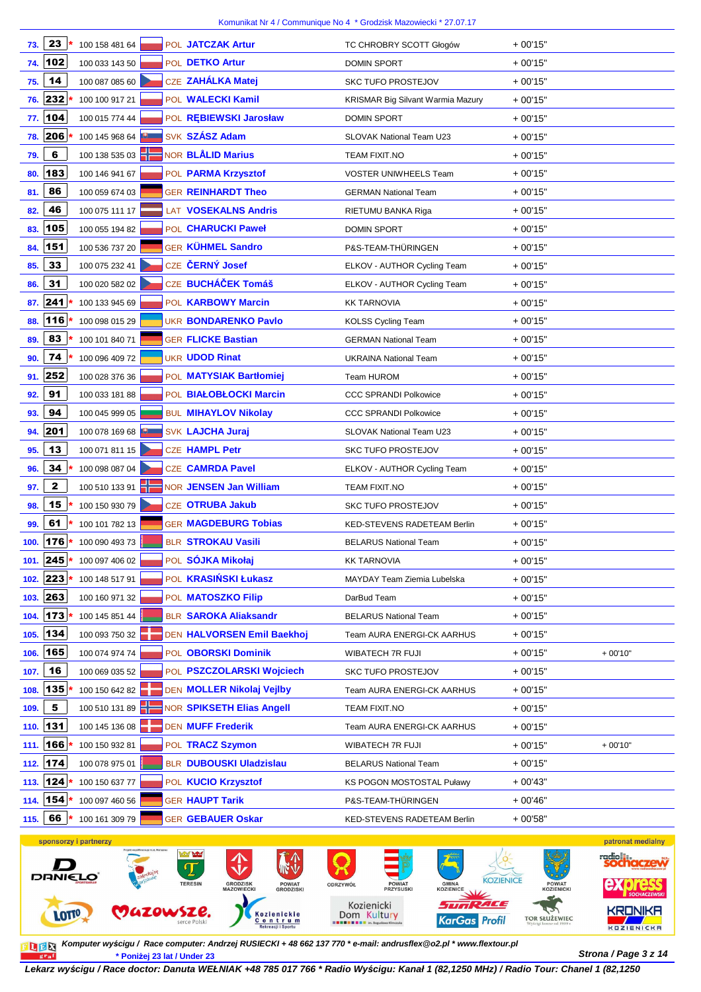| 73.  | 23           | 100 158 481 64 |  | POL JATCZAK Artur              | TC CHROBRY SCOTT Głogów                  | $+00'15"$ |           |
|------|--------------|----------------|--|--------------------------------|------------------------------------------|-----------|-----------|
| 74.  | 102          | 100 033 143 50 |  | POL DETKO Artur                | <b>DOMIN SPORT</b>                       | $+00'15"$ |           |
| 75.  | 14           | 100 087 085 60 |  | CZE ZAHÁLKA Matej              | <b>SKC TUFO PROSTEJOV</b>                | $+00'15"$ |           |
| 76.  | 232          | 100 100 917 21 |  | POL WALECKI Kamil              | <b>KRISMAR Big Silvant Warmia Mazury</b> | $+00'15"$ |           |
|      | 77. 104      | 100 015 774 44 |  | POL REBIEWSKI Jarosław         | <b>DOMIN SPORT</b>                       | $+00'15"$ |           |
| 78.  | 206          | 100 145 968 64 |  | SVK SZÁSZ Adam                 | SLOVAK National Team U23                 | $+00'15"$ |           |
| 79.  | 6            | 100 138 535 03 |  | NOR <b>BLÅLID Marius</b>       | <b>TEAM FIXIT.NO</b>                     | $+00'15"$ |           |
| 80.  | 183          | 100 146 941 67 |  | POL PARMA Krzysztof            | <b>VOSTER UNIWHEELS Team</b>             | $+00'15"$ |           |
| 81.  | 86           | 100 059 674 03 |  | <b>GER REINHARDT Theo</b>      | <b>GERMAN National Team</b>              | $+00'15"$ |           |
| 82.  | 46           | 100 075 111 17 |  | LAT VOSEKALNS Andris           | RIETUMU BANKA Riga                       | $+00'15"$ |           |
| 83.  | 105          | 100 055 194 82 |  | POL CHARUCKI Paweł             | <b>DOMIN SPORT</b>                       | $+00'15"$ |           |
| 84.  | 151          | 100 536 737 20 |  | GER KÜHMEL Sandro              | P&S-TEAM-THÜRINGEN                       | $+00'15"$ |           |
| 85.  | 33           | 100 075 232 41 |  | CZE ČERNÝ Josef                | ELKOV - AUTHOR Cycling Team              | $+00'15"$ |           |
| 86.  | 31           | 100 020 582 02 |  | CZE BUCHÁČEK Tomáš             | ELKOV - AUTHOR Cycling Team              | $+00'15"$ |           |
| 87.  | 241          | 100 133 945 69 |  | POL KARBOWY Marcin             | <b>KK TARNOVIA</b>                       | $+00'15"$ |           |
| 88.  | 116          | 100 098 015 29 |  | <b>UKR BONDARENKO Pavlo</b>    | <b>KOLSS Cycling Team</b>                | $+00'15"$ |           |
| 89.  | 83           | 100 101 840 71 |  | <b>GER FLICKE Bastian</b>      | <b>GERMAN National Team</b>              | $+00'15"$ |           |
| 90.  | 74           | 100 096 409 72 |  | <b>UKR UDOD Rinat</b>          | <b>UKRAINA National Team</b>             | $+00'15"$ |           |
| 91.  | 252          | 100 028 376 36 |  | POL MATYSIAK Bartłomiej        | <b>Team HUROM</b>                        | $+00'15"$ |           |
| 92.  | 91           | 100 033 181 88 |  | POL BIAŁOBŁOCKI Marcin         | <b>CCC SPRANDI Polkowice</b>             | $+00'15"$ |           |
| 93.  | 94           | 100 045 999 05 |  | <b>BUL MIHAYLOV Nikolay</b>    | <b>CCC SPRANDI Polkowice</b>             | $+00'15"$ |           |
| 94.  | 201          | 100 078 169 68 |  | <b>SVK LAJCHA Juraj</b>        | SLOVAK National Team U23                 | $+00'15"$ |           |
| 95.  | 13           | 100 071 811 15 |  | CZE HAMPL Petr                 | <b>SKC TUFO PROSTEJOV</b>                | $+00'15"$ |           |
| 96.  | 34           | 100 098 087 04 |  | <b>CZE CAMRDA Pavel</b>        | ELKOV - AUTHOR Cycling Team              | $+00'15"$ |           |
| 97.  | $\mathbf{2}$ | 100 510 133 91 |  | NOR JENSEN Jan William         | <b>TEAM FIXIT.NO</b>                     | $+00'15"$ |           |
| 98.  | 15           | 100 150 930 79 |  | CZE OTRUBA Jakub               | <b>SKC TUFO PROSTEJOV</b>                | $+00'15"$ |           |
| 99.  | 61           | 100 101 782 13 |  | <b>GER MAGDEBURG Tobias</b>    | <b>KED-STEVENS RADETEAM Berlin</b>       | $+00'15"$ |           |
| 100. | 176          | 100 090 493 73 |  | BLR STROKAU Vasili             | <b>BELARUS National Team</b>             | $+00'15"$ |           |
|      | 101. 245     | 100 097 406 02 |  | POL SOJKA Mikołaj              | <b>KK TARNOVIA</b>                       | $+00'15"$ |           |
| 102. | 223          | 100 148 517 91 |  | POL KRASIŃSKI Łukasz           | MAYDAY Team Ziemia Lubelska              | $+00'15"$ |           |
| 103. | 263          | 100 160 971 32 |  | POL MATOSZKO Filip             | DarBud Team                              | $+00'15"$ |           |
| 104. | 173          | 100 145 851 44 |  | <b>BLR SAROKA Aliaksandr</b>   | <b>BELARUS National Team</b>             | $+00'15"$ |           |
| 105. | 134          | 100 093 750 32 |  | DEN HALVORSEN Emil Baekhoj     | Team AURA ENERGI-CK AARHUS               | $+00'15"$ |           |
| 106. | 165          | 100 074 974 74 |  | POL OBORSKI Dominik            | WIBATECH 7R FUJI                         | $+00'15"$ | $+00'10"$ |
| 107. | 16           | 100 069 035 52 |  | POL PSZCZOLARSKI Wojciech      | <b>SKC TUFO PROSTEJOV</b>                | $+00'15"$ |           |
| 108. | 135          | 100 150 642 82 |  | DEN MOLLER Nikolaj Vejlby      | Team AURA ENERGI-CK AARHUS               | $+00'15"$ |           |
| 109. | 5            | 100 510 131 89 |  | NOR SPIKSETH Elias Angell      | TEAM FIXIT.NO                            | $+00'15"$ |           |
| 110. | 131          | 100 145 136 08 |  | <b>DEN MUFF Frederik</b>       | Team AURA ENERGI-CK AARHUS               | $+00'15"$ |           |
| 111. | 166          | 100 150 932 81 |  | POL TRACZ Szymon               | WIBATECH 7R FUJI                         | $+00'15"$ | $+00'10"$ |
| 112. | 174          | 100 078 975 01 |  | <b>BLR DUBOUSKI Uladzislau</b> | <b>BELARUS National Team</b>             | $+00'15"$ |           |
|      | 113. 124     | 100 150 637 77 |  | POL KUCIO Krzysztof            | KS POGON MOSTOSTAL Puławy                | $+00'43"$ |           |
| 114. | 154          | 100 097 460 56 |  | <b>GER HAUPT Tarik</b>         | P&S-TEAM-THÜRINGEN                       | $+00'46"$ |           |
| 115. | 66           | 100 161 309 79 |  | <b>GER GEBAUER Oskar</b>       | KED-STEVENS RADETEAM Berlin              | $+00'58"$ |           |



**Strona / Page 3 z 14 \* Poniżej 23 lat / Under 23 Komputer wy***ś***cigu / Race computer: Andrzej RUSIECKI + 48 662 137 770 \* e-mail: andrusflex@o2.pl \* www.flextour.pl**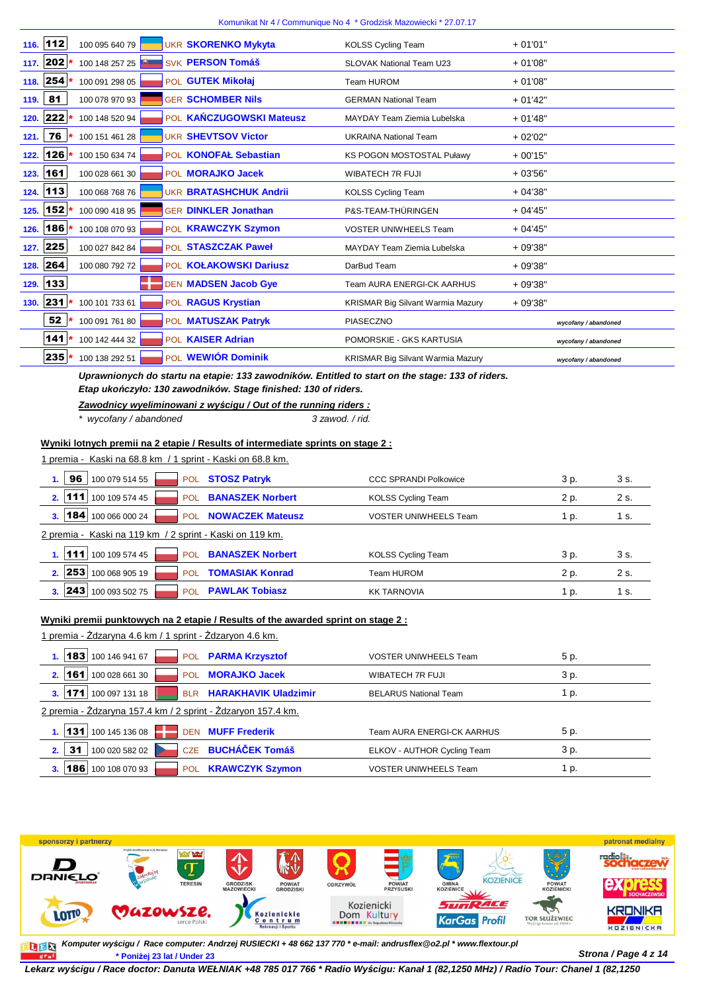| 112<br>116.       | 100 095 640 79 | <b>UKR SKORENKO Mykyta</b>    | <b>KOLSS Cycling Team</b>                | $+01'01"$            |
|-------------------|----------------|-------------------------------|------------------------------------------|----------------------|
| $202*$<br>117.    | 100 148 257 25 | <b>SVK PERSON Tomáš</b>       | <b>SLOVAK National Team U23</b>          | $+01'08"$            |
| 254<br>118.       | 100 091 298 05 | POL GUTEK Mikołaj             | Team HUROM                               | $+01'08"$            |
| 81<br>119.        | 100 078 970 93 | <b>GER SCHOMBER Nils</b>      | <b>GERMAN National Team</b>              | $+01'42"$            |
| 222<br>120.       | 100 148 520 94 | POL KAŃCZUGOWSKI Mateusz      | MAYDAY Team Ziemia Lubelska              | $+01'48"$            |
| $76 *$<br>121.    | 100 151 461 28 | <b>UKR SHEVTSOV Victor</b>    | <b>UKRAINA National Team</b>             | $+02'02"$            |
| $126*$<br>122.    | 100 150 634 74 | POL KONOFAŁ Sebastian         | KS POGON MOSTOSTAL Puławy                | $+00'15"$            |
| 161<br>123.       | 100 028 661 30 | POL <b>MORAJKO Jacek</b>      | <b>WIBATECH 7R FUJI</b>                  | $+03'56"$            |
| 113<br>124.       | 100 068 768 76 | <b>UKR BRATASHCHUK Andrii</b> | <b>KOLSS Cycling Team</b>                | $+04'38"$            |
| $152 *$<br>125.   | 100 090 418 95 | <b>GER DINKLER Jonathan</b>   | P&S-TEAM-THÜRINGEN                       | $+04'45"$            |
| $186*$<br>126.    | 100 108 070 93 | POL KRAWCZYK Szymon           | <b>VOSTER UNIWHEELS Team</b>             | $+04'45"$            |
| 225<br>127.       | 100 027 842 84 | POL STASZCZAK Paweł           | MAYDAY Team Ziemia Lubelska              | $+09'38"$            |
| 264<br>128.       | 100 080 792 72 | POL KOŁAKOWSKI Dariusz        | DarBud Team                              | $+09'38"$            |
| 133<br>129.       |                | DEN MADSEN Jacob Gye          | <b>Team AURA ENERGI-CK AARHUS</b>        | $+09'38"$            |
| $ 231 $ *<br>130. | 100 101 733 61 | POL RAGUS Krystian            | <b>KRISMAR Big Silvant Warmia Mazury</b> | $+09'38"$            |
| 52                | 100 091 761 80 | POL MATUSZAK Patryk           | <b>PIASECZNO</b>                         | wycofany / abandoned |
| $141*$            | 100 142 444 32 | POL KAISER Adrian             | POMORSKIE - GKS KARTUSIA                 | wycofany / abandoned |
| $235*$            | 100 138 292 51 | POL WEWIÓR Dominik            | <b>KRISMAR Big Silvant Warmia Mazury</b> | wycofany / abandoned |
|                   |                |                               |                                          |                      |

**Uprawnionych do startu na etapie: 133 zawodników. Entitled to start on the stage: 133 of riders. Etap uko***ń***czyło: 130 zawodników. Stage finished: 130 of riders.**

## **Zawodnicy wyeliminowani z wy***ś***cigu / Out of the running riders :**

\* wycofany / abandoned 3 zawod. / rid.

### **Wyniki lotnych premii na 2 etapie / Results of intermediate sprints on stage 2 :**

| 1 premia - Kaski na 68.8 km / 1 sprint - Kaski on 68.8 km. |                         |                              |      |      |  |  |  |  |
|------------------------------------------------------------|-------------------------|------------------------------|------|------|--|--|--|--|
| 96<br>100 079 514 55<br><b>POL</b>                         | <b>STOSZ Patryk</b>     | <b>CCC SPRANDI Polkowice</b> | 3 p. | 3 s. |  |  |  |  |
| 100 109 574 45<br>111<br>2.<br><b>POL</b>                  | <b>BANASZEK Norbert</b> | <b>KOLSS Cycling Team</b>    | 2 p. | 2 s. |  |  |  |  |
| ∣184∣<br>100 066 000 24<br>3.<br><b>POL</b>                | <b>NOWACZEK Mateusz</b> | <b>VOSTER UNIWHEELS Team</b> | 1 p. | 1 s. |  |  |  |  |
| 2 premia - Kaski na 119 km / 2 sprint - Kaski on 119 km.   |                         |                              |      |      |  |  |  |  |
| 111<br>100 109 574 45<br>POL                               | <b>BANASZEK Norbert</b> | <b>KOLSS Cycling Team</b>    | 3 p. | 3 s. |  |  |  |  |
| <b>253</b><br>100 068 905 19<br>2.<br><b>POL</b>           | <b>TOMASIAK Konrad</b>  | Team HUROM                   | 2 p. | 2 s. |  |  |  |  |
| 243<br>100 093 502 75<br><b>POL</b><br>3.                  | <b>PAWLAK Tobiasz</b>   | <b>KK TARNOVIA</b>           | 1 p. | 1 s. |  |  |  |  |

#### **Wyniki premii punktowych na 2 etapie / Results of the awarded sprint on stage 2 :**

1 premia - Żdzaryna 4.6 km / 1 sprint - Żdzaryon 4.6 km.

| 100 146 941 67<br> 183 <br><b>POL</b>                        | <b>PARMA Krzysztof</b>      | <b>VOSTER UNIWHEELS Team</b> | 5 p. |
|--------------------------------------------------------------|-----------------------------|------------------------------|------|
| 161<br>100 028 661 30<br>2 <sup>2</sup><br>POL               | <b>MORAJKO Jacek</b>        | WIBATECH 7R FUJI             | 3 p. |
| 100 097 131 18<br> 171 <br><b>BLR</b>                        | <b>HARAKHAVIK Uladzimir</b> | <b>BELARUS National Team</b> | 1 p. |
| 2 premia - Żdzaryna 157.4 km / 2 sprint - Żdzaryon 157.4 km. |                             |                              |      |
| 100 145 136 08<br> 131                                       | <b>DEN MUFF Frederik</b>    | Team AURA ENERGI-CK AARHUS   | 5 p. |
| 31<br>100 020 582 02<br>2.                                   | CZE BUCHÁČEK Tomáš          | ELKOV - AUTHOR Cycling Team  | 3 p. |
| 186<br>100 108 070 93<br><b>POL</b>                          | <b>KRAWCZYK Szymon</b>      | <b>VOSTER UNIWHEELS Team</b> | 1 p. |



**Strona / Page 4 z 14 \* Poniżej 23 lat / Under 23 Komputer wy***ś***cigu / Race computer: Andrzej RUSIECKI + 48 662 137 770 \* e-mail: andrusflex@o2.pl \* www.flextour.pl**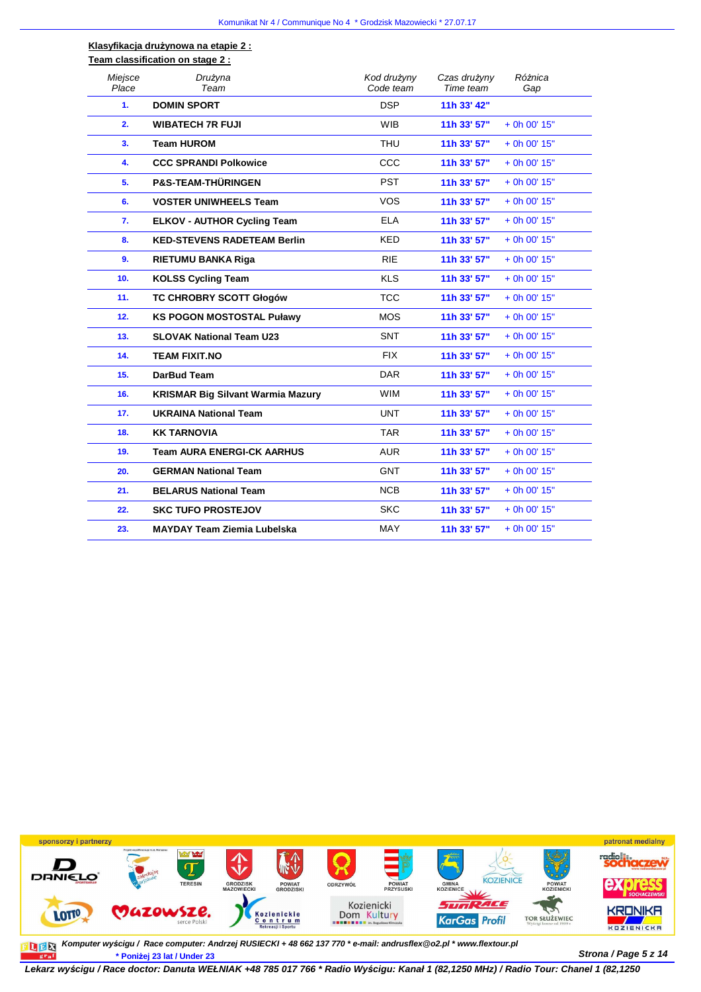#### **Klasyfikacja drużynowa na etapie 2 : Team classification on stage 2 :**

| Miejsce<br>Place | Drużyna<br>Team                          | Kod drużyny<br>Code team | Czas drużyny<br>Time team | Różnica<br>Gap |
|------------------|------------------------------------------|--------------------------|---------------------------|----------------|
| 1.               | <b>DOMIN SPORT</b>                       | <b>DSP</b>               | 11h 33' 42"               |                |
| 2.               | <b>WIBATECH 7R FUJI</b>                  | <b>WIB</b>               | 11h 33' 57"               | + 0h 00' 15"   |
| 3.               | <b>Team HUROM</b>                        | <b>THU</b>               | 11h 33' 57"               | + 0h 00' 15"   |
| 4.               | <b>CCC SPRANDI Polkowice</b>             | CCC                      | 11h 33' 57"               | $+$ 0h 00' 15" |
| 5.               | <b>P&amp;S-TEAM-THÜRINGEN</b>            | <b>PST</b>               | 11h 33' 57"               | $+$ 0h 00' 15" |
| 6.               | <b>VOSTER UNIWHEELS Team</b>             | <b>VOS</b>               | 11h 33' 57"               | $+$ 0h 00' 15" |
| 7.               | <b>ELKOV - AUTHOR Cycling Team</b>       | <b>ELA</b>               | 11h 33' 57"               | $+$ 0h 00' 15" |
| 8.               | <b>KED-STEVENS RADETEAM Berlin</b>       | <b>KED</b>               | 11h 33' 57"               | $+$ 0h 00' 15" |
| 9.               | <b>RIETUMU BANKA Riga</b>                | <b>RIE</b>               | 11h 33' 57"               | $+$ 0h 00' 15" |
| 10.              | <b>KOLSS Cycling Team</b>                | <b>KLS</b>               | 11h 33' 57"               | $+$ 0h 00' 15" |
| 11.              | <b>TC CHROBRY SCOTT Głogów</b>           | <b>TCC</b>               | 11h 33' 57"               | $+$ 0h 00' 15" |
| 12.              | <b>KS POGON MOSTOSTAL Puławy</b>         | <b>MOS</b>               | 11h 33' 57"               | $+$ 0h 00' 15" |
| 13.              | <b>SLOVAK National Team U23</b>          | <b>SNT</b>               | 11h 33' 57"               | $+$ 0h 00' 15" |
| 14.              | <b>TEAM FIXIT.NO</b>                     | <b>FIX</b>               | 11h 33' 57"               | $+$ 0h 00' 15" |
| 15.              | <b>DarBud Team</b>                       | <b>DAR</b>               | 11h 33' 57"               | $+$ 0h 00' 15" |
| 16.              | <b>KRISMAR Big Silvant Warmia Mazury</b> | <b>WIM</b>               | 11h 33' 57"               | $+$ 0h 00' 15" |
| 17.              | <b>UKRAINA National Team</b>             | <b>UNT</b>               | 11h 33' 57"               | $+$ 0h 00' 15" |
| 18.              | <b>KK TARNOVIA</b>                       | <b>TAR</b>               | 11h 33' 57"               | $+$ 0h 00' 15" |
| 19.              | <b>Team AURA ENERGI-CK AARHUS</b>        | <b>AUR</b>               | 11h 33' 57"               | $+$ 0h 00' 15" |
| 20.              | <b>GERMAN National Team</b>              | <b>GNT</b>               | 11h 33' 57"               | $+$ 0h 00' 15" |
| 21.              | <b>BELARUS National Team</b>             | <b>NCB</b>               | 11h 33' 57"               | $+$ 0h 00' 15" |
| 22.              | <b>SKC TUFO PROSTEJOV</b>                | <b>SKC</b>               | 11h 33' 57"               | $+$ 0h 00' 15" |
| 23.              | <b>MAYDAY Team Ziemia Lubelska</b>       | <b>MAY</b>               | 11h 33' 57"               | $+$ 0h 00' 15" |



**Strona / Page 5 z 14 \* Poniżej 23 lat / Under 23 Komputer wy***ś***cigu / Race computer: Andrzej RUSIECKI + 48 662 137 770 \* e-mail: andrusflex@o2.pl \* www.flextour.pl**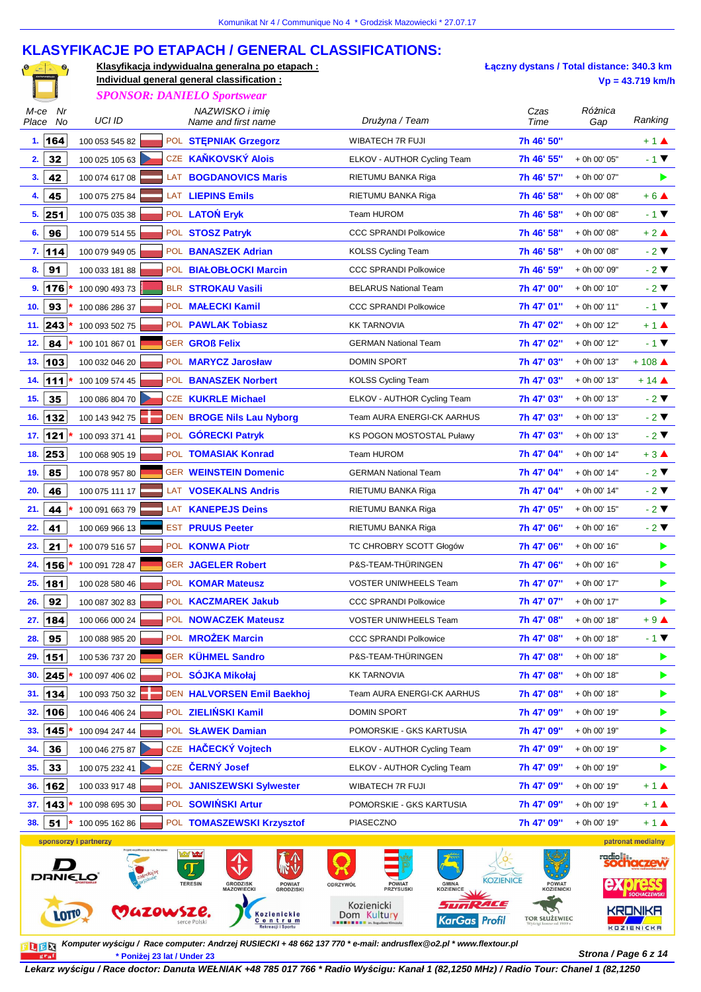#### **KLASYFIKACJE PO ETAPACH / GENERAL CLASSIFICATIONS:**

 $\mathbf{e}_{1}$ 

**Klasyfikacja indywidualna generalna po etapach : Individual general general classification : Vp = 43.719 km/h**

**Łączny dystans / Total distance: 340.3 km** 

|                        |                       |           | <b>SPONSOR: DANIELO Sportswear</b>                 |                                                                      |                      |                      |                              |
|------------------------|-----------------------|-----------|----------------------------------------------------|----------------------------------------------------------------------|----------------------|----------------------|------------------------------|
| Nr<br>M-ce<br>Place No | <b>UCI ID</b>         |           | NAZWISKO i imię<br>Name and first name             | Drużyna / Team                                                       | Czas<br>Time         | Różnica<br>Gap       | Ranking                      |
| 1.164                  | 100 053 545 82        |           | POL STEPNIAK Grzegorz                              | WIBATECH 7R FUJI                                                     | 7h 46' 50"           |                      | $+1$ $\triangle$             |
| 32<br>2.               | 100 025 105 63        |           | CZE KAŇKOVSKÝ Alois                                | ELKOV - AUTHOR Cycling Team                                          | 7h 46' 55"           | + 0h 00' 05"         | $-1$ $\blacktriangledown$    |
| 3.<br>42               | 100 074 617 08        |           | LAT BOGDANOVICS Maris                              | RIETUMU BANKA Riga                                                   | 7h 46' 57"           | + 0h 00' 07"         | ▶                            |
| 45<br>4.               | 100 075 275 84        |           | LAT LIEPINS Emils                                  | RIETUMU BANKA Riga                                                   | 7h 46' 58"           | + 0h 00' 08"         | $+6$ $\triangle$             |
| 5.<br>251              | 100 075 035 38        |           | POL LATOŃ Eryk                                     | Team HUROM                                                           | 7h 46' 58"           | + 0h 00' 08"         | $-1$ $\blacktriangledown$    |
| 96<br>6.               | 100 079 514 55        |           | POL STOSZ Patryk                                   | <b>CCC SPRANDI Polkowice</b>                                         | 7h 46' 58"           | + 0h 00' 08"         | $+2$ $\triangle$             |
| 7.114                  | 100 079 949 05        |           | POL BANASZEK Adrian                                | <b>KOLSS Cycling Team</b>                                            | 7h 46' 58"           | + 0h 00' 08"         | $-2$ $\blacktriangledown$    |
| 91<br>8.               | 100 033 181 88        |           | POL BIAŁOBŁOCKI Marcin                             | <b>CCC SPRANDI Polkowice</b>                                         | 7h 46' 59"           | + 0h 00' 09"         | $-2$ $\blacktriangledown$    |
| 9.<br>176              | 100 090 493 73        |           | BLR STROKAU Vasili                                 | <b>BELARUS National Team</b>                                         | 7h 47' 00"           | + 0h 00' 10"         | $-2$ $\blacktriangledown$    |
| 93<br>10.              | 100 086 286 37        |           | POL MAŁECKI Kamil                                  | <b>CCC SPRANDI Polkowice</b>                                         | 7h 47' 01"           | + 0h 00' 11"         | $-1$ $\blacktriangledown$    |
| 243<br>11.             | 100 093 502 75        |           | POL PAWLAK Tobiasz                                 | <b>KK TARNOVIA</b>                                                   | 7h 47' 02"           | + 0h 00' 12"         | $+1$ $\triangle$             |
| 84<br>12.              | 100 101 867 01        |           | <b>GER GROß Felix</b>                              | <b>GERMAN National Team</b>                                          | 7h 47' 02"           | + 0h 00' 12"         | $-1$ $\blacktriangledown$    |
| 13.<br>103             | 100 032 046 20        |           | POL MARYCZ Jarosław                                | <b>DOMIN SPORT</b>                                                   | 7h 47' 03"           | + 0h 00' 13"         | $+108$ $\triangle$           |
| 111<br>14.             | 100 109 574 45        |           | POL BANASZEK Norbert                               | <b>KOLSS Cycling Team</b>                                            | 7h 47' 03"           | + 0h 00' 13"         | $+14$ $\triangle$            |
| 35<br>15.              | 100 086 804 70        |           | CZE KUKRLE Michael                                 | ELKOV - AUTHOR Cycling Team                                          | 7h 47' 03"           | + 0h 00' 13"         | $-2$ $\blacktriangledown$    |
| 132<br>16.             | 100 143 942 75        |           | DEN BROGE Nils Lau Nyborg                          | Team AURA ENERGI-CK AARHUS                                           | 7h 47' 03"           | + 0h 00' 13"         | $-2$ $\blacktriangledown$    |
| $121$<br>17.           | 100 093 371 41        |           | POL GÓRECKI Patryk                                 | <b>KS POGON MOSTOSTAL Puławy</b>                                     | 7h 47' 03"           | + 0h 00' 13"         | $-2$ $\blacktriangledown$    |
| 253<br>18.             | 100 068 905 19        |           | POL TOMASIAK Konrad                                | Team HUROM                                                           | 7h 47' 04"           | + 0h 00' 14"         | $+3$ $\triangle$             |
| 85<br>19.              | 100 078 957 80        |           | <b>GER WEINSTEIN Domenic</b>                       | <b>GERMAN National Team</b>                                          | 7h 47' 04"           | + 0h 00' 14"         | $-2$ $\blacktriangledown$    |
| 20.<br>46              | 100 075 111 17        |           | LAT VOSEKALNS Andris                               | RIETUMU BANKA Riga                                                   | 7h 47' 04"           | + 0h 00' 14"         | $-2$ $\blacktriangledown$    |
| 21.<br>44              | 100 091 663 79        |           | LAT KANEPEJS Deins                                 | RIETUMU BANKA Riga                                                   | 7h 47' 05"           | + 0h 00' 15"         | $-2$ $\blacktriangledown$    |
| 41<br>22.              | 100 069 966 13        |           | <b>EST PRUUS Peeter</b>                            | RIETUMU BANKA Riga                                                   | 7h 47' 06"           | + 0h 00' 16"         | $-2$ $\blacktriangledown$    |
| 21<br>23.              | 100 079 516 57        |           | POL KONWA Piotr                                    | TC CHROBRY SCOTT Głogów                                              | 7h 47' 06"           | + 0h 00' 16"         | ▶                            |
| 156<br>24.             | 100 091 728 47        |           | GER JAGELER Robert                                 | P&S-TEAM-THÜRINGEN                                                   | 7h 47' 06"           | + 0h 00' 16"         | ▶                            |
| 181<br>25.             | 100 028 580 46        |           | POL KOMAR Mateusz                                  | <b>VOSTER UNIWHEELS Team</b>                                         | 7h 47' 07"           | + 0h 00' 17"         | ▶                            |
| 26.<br>92              | 100 087 302 83        |           | POL KACZMAREK Jakub                                | <b>CCC SPRANDI Polkowice</b>                                         | 7h 47' 07"           | + 0h 00' 17"         | ▶                            |
| 184<br>27.             | 100 066 000 24        |           | POL NOWACZEK Mateusz                               | VOSTER UNIWHEELS Team                                                | 7h 47' 08''          | + 0h 00' 18"         | $+9$ $\triangle$             |
| 95<br>28.              | 100 088 985 20        |           | POL MROŻEK Marcin                                  | <b>CCC SPRANDI Polkowice</b>                                         | 7h 47' 08"           | + 0h 00' 18"         | $-1$ $\blacktriangledown$    |
| 151<br>29.             | 100 536 737 20        |           | GER KÜHMEL Sandro                                  | P&S-TEAM-THÜRINGEN                                                   | 7h 47' 08"           | + 0h 00' 18"         | ▶                            |
| 245<br>30.             | 100 097 406 02        |           | POL SÓJKA Mikołaj                                  | <b>KK TARNOVIA</b>                                                   | 7h 47' 08"           | + 0h 00' 18"         | ▶                            |
| 134<br>31.             | 100 093 750 32        |           | DEN HALVORSEN Emil Baekhoj                         | Team AURA ENERGI-CK AARHUS                                           | 7h 47' 08"           | + 0h 00' 18"         | ▶                            |
| 32.<br>106             | 100 046 406 24        |           | POL ZIELIŃSKI Kamil                                | <b>DOMIN SPORT</b>                                                   | 7h 47' 09"           | + 0h 00' 19"         | ▶                            |
| 145<br>33.             | 100 094 247 44        |           | POL SŁAWEK Damian                                  | POMORSKIE - GKS KARTUSIA                                             | 7h 47' 09"           | + 0h 00' 19"         | ▶                            |
| 36<br>34.              | 100 046 275 87        |           | CZE HAČECKÝ Vojtech                                | ELKOV - AUTHOR Cycling Team                                          | 7h 47' 09"           | + 0h 00' 19"         | ▶                            |
| 33<br>35.              | 100 075 232 41        |           | CZE ČERNÝ Josef                                    | ELKOV - AUTHOR Cycling Team                                          | 7h 47' 09"           | + 0h 00' 19"         | ▶                            |
| 36.<br>162             | 100 033 917 48        |           | POL JANISZEWSKI Sylwester                          | WIBATECH 7R FUJI                                                     | 7h 47' 09"           | + 0h 00' 19"         | $+1$ $\triangle$             |
| 143<br>37.             | 100 098 695 30        |           | POL SOWIŃSKI Artur                                 | POMORSKIE - GKS KARTUSIA                                             | 7h 47' 09"           | + 0h 00' 19"         | $+1$ $\triangle$             |
| 51<br>38.              | 100 095 162 86        |           | POL TOMASZEWSKI Krzysztof                          | PIASECZNO                                                            | 7h 47' 09"           | + 0h 00' 19"         | $+1$ $\triangle$             |
|                        | sponsorzy i partnerzy |           |                                                    |                                                                      |                      |                      | patronat medialny            |
|                        |                       |           | <b>Company</b>                                     |                                                                      |                      | radio <sub>ill</sub> | <b>cnaczew</b>               |
| <b>DRNIELO</b>         |                       |           | <b>GRODZISK</b><br><b>TERESIN</b><br><b>POWIAT</b> | <b>KOZIENICE</b><br><b>POWIAT</b><br><b>GMINA</b><br>ODRZYWÓŁ        | <b>POWIAT</b>        |                      |                              |
|                        |                       |           | <b>MAZOWIECKI</b><br><b>GRODZISKI</b>              | <b>PRZYSUSKI</b><br><b>KOZIENICE</b><br><b>SURRACE</b><br>Kozienicki | KOZIENICKI           |                      |                              |
| <b>LOTTO</b>           |                       | VAZOWSZE. | Kozienickie<br>Centrum<br>Rekreacji i Sportu       | Dom Kultury<br><b>KarGas Profil</b>                                  | <b>TOR SŁUŻEWIEC</b> |                      | KRONIKA<br><b>KOZIENICKA</b> |

**Strona / Page 6 z 14 \* Poniżej 23 lat / Under 23 Komputer wy***ś***cigu / Race computer: Andrzej RUSIECKI + 48 662 137 770 \* e-mail: andrusflex@o2.pl \* www.flextour.pl**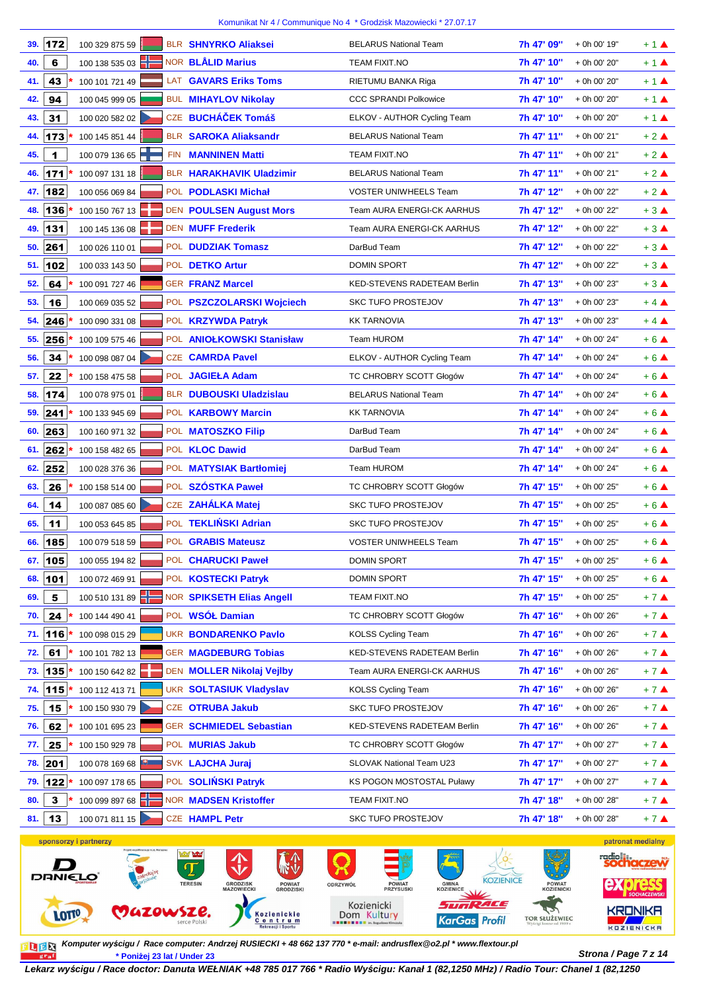| 39. | 172      | 100 329 875 59        |            | <b>BLR SHNYRKO Aliaksei</b>     | <b>BELARUS National Team</b>     | 7h 47' 09" | + 0h 00' 19"      | $+1$ $\triangle$ |
|-----|----------|-----------------------|------------|---------------------------------|----------------------------------|------------|-------------------|------------------|
| 40. | 6        | 100 138 535 03        |            | NOR <b>BLÅLID Marius</b>        | <b>TEAM FIXIT.NO</b>             | 7h 47' 10" | + 0h 00' 20"      | $+1$ $\triangle$ |
| 41. | 43       | 100 101 721 49        |            | LAT GAVARS Eriks Toms           | RIETUMU BANKA Riga               | 7h 47' 10" | + 0h 00' 20"      | $+1$ $\triangle$ |
| 42. | 94       | 100 045 999 05        |            | <b>BUL MIHAYLOV Nikolay</b>     | <b>CCC SPRANDI Polkowice</b>     | 7h 47' 10" | + 0h 00' 20"      | $+1$ $\triangle$ |
| 43. | 31       | 100 020 582 02        |            | CZE BUCHÁČEK Tomáš              | ELKOV - AUTHOR Cycling Team      | 7h 47' 10" | + 0h 00' 20"      | $+1$ $\triangle$ |
| 44. | 173      | 100 145 851 44        |            | <b>BLR SAROKA Aliaksandr</b>    | <b>BELARUS National Team</b>     | 7h 47' 11" | + 0h 00' 21"      | $+2$ $\triangle$ |
| 45. | 1        | 100 079 136 65        | <b>FIN</b> | <b>MANNINEN Matti</b>           | TEAM FIXIT.NO                    | 7h 47' 11" | + 0h 00' 21"      | $+2$ $\triangle$ |
| 46. | 171      | 100 097 131 18        |            | <b>BLR HARAKHAVIK Uladzimir</b> | <b>BELARUS National Team</b>     | 7h 47' 11" | + 0h 00' 21"      | $+2$ $\triangle$ |
| 47. | 182      | 100 056 069 84        |            | POL PODLASKI Michał             | <b>VOSTER UNIWHEELS Team</b>     | 7h 47' 12" | + 0h 00' 22"      | $+2$ $\triangle$ |
| 48. | 136      | 100 150 767 13        |            | <b>DEN POULSEN August Mors</b>  | Team AURA ENERGI-CK AARHUS       | 7h 47' 12" | + 0h 00' 22"      | $+3$ $\triangle$ |
| 49. | 131      | 100 145 136 08        |            | <b>DEN MUFF Frederik</b>        | Team AURA ENERGI-CK AARHUS       | 7h 47' 12" | + 0h 00' 22"      | $+3$ $\triangle$ |
| 50. | 261      | 100 026 110 01        |            | POL <b>DUDZIAK Tomasz</b>       | DarBud Team                      | 7h 47' 12" | + 0h 00' 22"      | $+3$ $\triangle$ |
| 51. | 102      | 100 033 143 50        |            | POL DETKO Artur                 | <b>DOMIN SPORT</b>               | 7h 47' 12" | + 0h 00' 22"      | $+3$ $\triangle$ |
| 52. | 64       | 100 091 727 46        |            | <b>GER FRANZ Marcel</b>         | KED-STEVENS RADETEAM Berlin      | 7h 47' 13" | + 0h 00' 23"      | $+3$ $\triangle$ |
| 53. | 16       | 100 069 035 52        |            | POL PSZCZOLARSKI Wojciech       | <b>SKC TUFO PROSTEJOV</b>        | 7h 47' 13" | + 0h 00' 23"      | $+4$ $\triangle$ |
| 54. | 246      | 100 090 331 08        |            | POL KRZYWDA Patryk              | <b>KK TARNOVIA</b>               | 7h 47' 13" | + 0h 00' 23"      | $+4$ $\triangle$ |
| 55. | 256      | 100 109 575 46        |            | POL ANIOLKOWSKI Stanisław       | Team HUROM                       | 7h 47' 14" | + 0h 00' 24"      | $+6$ $\triangle$ |
| 56. | 34       | 100 098 087 04        |            | <b>CZE CAMRDA Pavel</b>         | ELKOV - AUTHOR Cycling Team      | 7h 47' 14" | + 0h 00' 24"      | $+6$ $\triangle$ |
| 57. | 22       | 100 158 475 58        |            | POL JAGIEŁA Adam                | TC CHROBRY SCOTT Głogów          | 7h 47' 14" | + 0h 00' 24"      | $+6$ $\triangle$ |
| 58. | 174      | 100 078 975 01        |            | <b>BLR DUBOUSKI Uladzislau</b>  | <b>BELARUS National Team</b>     | 7h 47' 14" | + 0h 00' 24"      | $+6$ $\triangle$ |
| 59. | 241      | 100 133 945 69        |            | POL KARBOWY Marcin              | <b>KK TARNOVIA</b>               | 7h 47' 14" | + 0h 00' 24"      | $+6A$            |
| 60. | 263      | 100 160 971 32        |            | POL MATOSZKO Filip              | DarBud Team                      | 7h 47' 14" | + 0h 00' 24"      | $+6$ $\triangle$ |
|     | 61.  262 | 100 158 482 65        |            | POL <b>KLOC Dawid</b>           | DarBud Team                      | 7h 47' 14" | + 0h 00' 24"      | $+6$ $\triangle$ |
| 62. | 252      | 100 028 376 36        |            | POL MATYSIAK Bartłomiej         | Team HUROM                       | 7h 47' 14" | + 0h 00' 24"      | $+6$ $\triangle$ |
| 63. | 26       | 100 158 514 00        |            | POL SZÓSTKA Paweł               | TC CHROBRY SCOTT Głogów          | 7h 47' 15" | + 0h 00' 25"      | $+6$ $\triangle$ |
| 64. | 14       | 100 087 085 60        |            | CZE ZAHÁLKA Matej               | <b>SKC TUFO PROSTEJOV</b>        | 7h 47' 15" | + 0h 00' 25"      | $+6$ $\triangle$ |
| 65. | 11       | 100 053 645 85        |            | POL TEKLIŃSKI Adrian            | <b>SKC TUFO PROSTEJOV</b>        | 7h 47' 15" | + 0h 00' 25"      | $+6$ $\triangle$ |
| 66. | 185      | 100 079 518 59        |            | POL GRABIS Mateusz              | <b>VOSTER UNIWHEELS Team</b>     | 7h 47' 15" | + 0h 00' 25"      | $+6$ $\triangle$ |
|     | 67. 105  | 100 055 194 82        |            | POL CHARUCKI Paweł              | DOMIN SPORT                      | 7h 47' 15" | + 0h 00' 25"      | $+6$ $\triangle$ |
| 68. | 101      | 100 072 469 91        |            | POL KOSTECKI Patryk             | DOMIN SPORT                      | 7h 47' 15" | + 0h 00' 25"      | $+6$ $\triangle$ |
| 69. | 5        | 100 510 131 89        |            | NOR SPIKSETH Elias Angell       | TEAM FIXIT.NO                    | 7h 47' 15" | + 0h 00' 25"      | $+7$ $\triangle$ |
| 70. | 24       | 100 144 490 41        |            | POL WSÓŁ Damian                 | TC CHROBRY SCOTT Głogów          | 7h 47' 16" | + 0h 00' 26"      | $+7$ $\triangle$ |
| 71. | 116      | 100 098 015 29        |            | <b>UKR BONDARENKO Pavlo</b>     | <b>KOLSS Cycling Team</b>        | 7h 47' 16" | + 0h 00' 26"      | $+7$ $\triangle$ |
| 72. | 61       | 100 101 782 13        |            | <b>GER MAGDEBURG Tobias</b>     | KED-STEVENS RADETEAM Berlin      | 7h 47' 16" | + 0h 00' 26"      | $+7$ $\triangle$ |
| 73. | 135      | 100 150 642 82        |            | DEN MOLLER Nikolaj Vejlby       | Team AURA ENERGI-CK AARHUS       | 7h 47' 16" | + 0h 00' 26"      | $+7$ $\triangle$ |
| 74. | 115      | 100 112 413 71        |            | <b>UKR SOLTASIUK Vladyslav</b>  | <b>KOLSS Cycling Team</b>        | 7h 47' 16" | + 0h 00' 26"      | $+7$ $\triangle$ |
| 75. | 15       | 100 150 930 79        |            | CZE OTRUBA Jakub                | SKC TUFO PROSTEJOV               | 7h 47' 16" | + 0h 00' 26"      | $+7$ $\triangle$ |
| 76. | 62       | 100 101 695 23        |            | <b>GER SCHMIEDEL Sebastian</b>  | KED-STEVENS RADETEAM Berlin      | 7h 47' 16" | + 0h 00' 26"      | $+7$ $\triangle$ |
| 77. | 25       | 100 150 929 78        |            | POL MURIAS Jakub                | TC CHROBRY SCOTT Głogów          | 7h 47' 17" | + 0h 00' 27"      | $+7$ $\triangle$ |
| 78. | 201      | 100 078 169 68        |            | SVK LAJCHA Juraj                | SLOVAK National Team U23         | 7h 47' 17" | + 0h 00' 27"      | $+7$ $\triangle$ |
| 79. | 122      | 100 097 178 65        |            | POL SOLIŃSKI Patryk             | <b>KS POGON MOSTOSTAL Puławy</b> | 7h 47' 17" | + 0h 00' 27"      | $+7$ $\triangle$ |
| 80. | 3        | 100 099 897 68        |            | <b>NOR MADSEN Kristoffer</b>    | TEAM FIXIT.NO                    | 7h 47' 18" | + 0h 00' 28"      | $+7$ $\triangle$ |
| 81. | 13       | 100 071 811 15        |            | <b>CZE HAMPL Petr</b>           | <b>SKC TUFO PROSTEJOV</b>        | 7h 47' 18" | + 0h 00' 28"      | $+7$ $\triangle$ |
|     |          | sponsorzy i partnerzy |            |                                 |                                  |            | patronat medialny |                  |



**Strona / Page 7 z 14 \* Poniżej 23 lat / Under 23 Komputer wy***ś***cigu / Race computer: Andrzej RUSIECKI + 48 662 137 770 \* e-mail: andrusflex@o2.pl \* www.flextour.pl**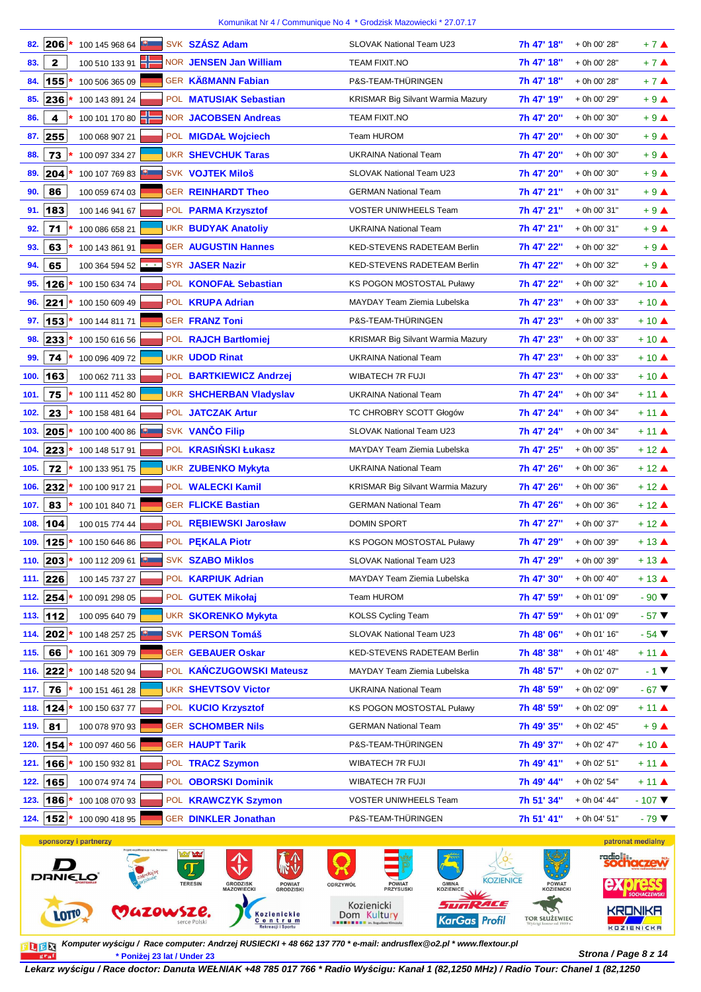| 82.  | 206 *        | 100 145 968 64        |                                       | SVK SZÁSZ Adam                 | SLOVAK National Team U23                 | 7h 47' 18"                  | + 0h 00' 28" | $+7$ $\triangle$            |
|------|--------------|-----------------------|---------------------------------------|--------------------------------|------------------------------------------|-----------------------------|--------------|-----------------------------|
| 83.  | $\mathbf{z}$ | 100 510 133 91        |                                       | NOR JENSEN Jan William         | <b>TEAM FIXIT.NO</b>                     | 7h 47' 18"                  | + 0h 00' 28" | $+7$ $\triangle$            |
| 84.  | 155          | 100 506 365 09        |                                       | GER KÄßMANN Fabian             | P&S-TEAM-THÜRINGEN                       | 7h 47' 18"                  | + 0h 00' 28" | $+7$ $\triangle$            |
| 85.  | 236          | 100 143 891 24        |                                       | POL MATUSIAK Sebastian         | KRISMAR Big Silvant Warmia Mazury        | 7h 47' 19"                  | + 0h 00' 29" | $+9$ $\triangle$            |
| 86.  | 4            | 100 101 170 80        |                                       | <b>NOR JACOBSEN Andreas</b>    | TEAM FIXIT.NO                            | 7h 47' 20"                  | + 0h 00' 30" | $+9$ $\triangle$            |
| 87.  | 255          | 100 068 907 21        |                                       | POL MIGDAŁ Wojciech            | Team HUROM                               | 7h 47' 20"                  | + 0h 00' 30" | $+9$ $\triangle$            |
| 88.  | 73           | 100 097 334 27        |                                       | <b>UKR SHEVCHUK Taras</b>      | <b>UKRAINA National Team</b>             | 7h 47' 20"                  | + 0h 00' 30" | $+9$ $\triangle$            |
| 89.  | 204          | 100 107 769 83        |                                       | <b>SVK VOJTEK Miloš</b>        | <b>SLOVAK National Team U23</b>          | 7h 47' 20"                  | + 0h 00' 30" | $+9$ $\triangle$            |
| 90.  | 86           | 100 059 674 03        |                                       | <b>GER REINHARDT Theo</b>      | <b>GERMAN National Team</b>              | 7h 47' 21"                  | + 0h 00' 31" | $+9$ $\triangle$            |
| 91.  | 183          | 100 146 941 67        |                                       | POL PARMA Krzysztof            | VOSTER UNIWHEELS Team                    | 7h 47' 21"                  | + 0h 00' 31" | $+9$ $\triangle$            |
| 92.  | 71           | 100 086 658 21        |                                       | <b>UKR BUDYAK Anatoliy</b>     | <b>UKRAINA National Team</b>             | 7h 47' 21"                  | + 0h 00' 31" | $+9$ $\triangle$            |
| 93.  | 63           | 100 143 861 91        |                                       | <b>GER AUGUSTIN Hannes</b>     | KED-STEVENS RADETEAM Berlin              | 7h 47' 22"                  | + 0h 00' 32" | $+9$ $\triangle$            |
| 94.  | 65           | 100 364 594 52 **     |                                       | SYR JASER Nazir                | <b>KED-STEVENS RADETEAM Berlin</b>       | 7h 47' 22"                  | + 0h 00' 32" | $+9$ $\triangle$            |
| 95.  | 126          | 100 150 634 74        |                                       | POL KONOFAŁ Sebastian          | KS POGON MOSTOSTAL Puławy                | 7h 47' 22"                  | + 0h 00' 32" | $+10$ $\triangle$           |
| 96.  | 221          | 100 150 609 49        |                                       | POL <b>KRUPA Adrian</b>        | MAYDAY Team Ziemia Lubelska              | 7h 47' 23"                  | + 0h 00' 33" | $+10$ $\triangle$           |
| 97.  | $153 *$      | 100 144 811 71        |                                       | <b>GER FRANZ Toni</b>          | P&S-TEAM-THÜRINGEN                       | 7h 47' 23"                  | + 0h 00' 33" | $+10$ $\triangle$           |
| 98.  | 233          | 100 150 616 56        |                                       | POL RAJCH Bartłomiej           | <b>KRISMAR Big Silvant Warmia Mazury</b> | 7h 47' 23"                  | + 0h 00' 33" | $+10$ $\triangle$           |
| 99.  | 74           | 100 096 409 72        |                                       | <b>UKR UDOD Rinat</b>          | <b>UKRAINA National Team</b>             | 7h 47' 23"                  | + 0h 00' 33" | $+10$ $\triangle$           |
| 100. | 163          | 100 062 711 33        |                                       | POL BARTKIEWICZ Andrzej        | <b>WIBATECH 7R FUJI</b>                  | 7h 47' 23"                  | + 0h 00' 33" | $+10$ $\triangle$           |
| 101. | 75           | 100 111 452 80        |                                       | <b>UKR SHCHERBAN Vladyslav</b> | <b>UKRAINA National Team</b>             | 7h 47' 24"                  | + 0h 00' 34" | $+11$ $\triangle$           |
| 102. | 23           | 100 158 481 64        |                                       | POL JATCZAK Artur              | TC CHROBRY SCOTT Głogów                  | 7h 47' 24"                  | + 0h 00' 34" | $+11$ $\triangle$           |
| 103. | $ 205 $ *    | 100 100 400 86        |                                       | SVK VANČO Filip                | SLOVAK National Team U23                 | 7h 47' 24"                  | + 0h 00' 34" | $+11$ $\triangle$           |
| 104. | 223          | 100 148 517 91        |                                       | POL KRASIŃSKI Łukasz           | MAYDAY Team Ziemia Lubelska              | 7h 47' 25"                  | + 0h 00' 35" | $+12$ $\triangle$           |
| 105. | 72           | 100 133 951 75        |                                       | <b>UKR ZUBENKO Mykyta</b>      | <b>UKRAINA National Team</b>             | 7h 47' 26"                  | + 0h 00' 36" | $+12$ $\triangle$           |
| 106. | 232          | 100 100 917 21        |                                       | POL WALECKI Kamil              | <b>KRISMAR Big Silvant Warmia Mazury</b> | 7h 47' 26"                  | + 0h 00' 36" | $+12$ $\triangle$           |
| 107. | 83           | 100 101 840 71        |                                       | <b>GER FLICKE Bastian</b>      | <b>GERMAN National Team</b>              | 7h 47' 26"                  | + 0h 00' 36" | $+12$ $\triangle$           |
| 108. | 104          | 100 015 774 44        |                                       | POL REBIEWSKI Jarosław         | <b>DOMIN SPORT</b>                       | 7h 47' 27"                  | + 0h 00' 37" | $+12$ $\triangle$           |
| 109. | $125$ *      | 100 150 646 86        |                                       | POL PEKALA Piotr               | KS POGON MOSTOSTAL Puławy                | 7h 47' 29"                  | + 0h 00' 39" | $+13$ $\triangle$           |
|      | 110. 203 *   | 100 112 209 61        |                                       | <b>SVK SZABO Miklos</b>        | SLOVAK National Team U23                 | 7h 47' 29"                  | + 0h 00' 39" | $+13$ $\triangle$           |
| 111. | 226          | 100 145 737 27        |                                       | POL <b>KARPIUK Adrian</b>      | MAYDAY Team Ziemia Lubelska              | 7h 47' 30"                  | + 0h 00' 40" | $+13$ $\triangle$           |
| 112. | $254*$       | 100 091 298 05        |                                       | POL GUTEK Mikołaj              | Team HUROM                               | 7h 47' 59"                  | + 0h 01' 09" | $-90$ $\blacktriangledown$  |
|      | 113. 112     | 100 095 640 79        |                                       | <b>UKR SKORENKO Mykyta</b>     | <b>KOLSS Cycling Team</b>                | 7h 47' 59"                  | + 0h 01' 09" | $-57$ $\blacktriangledown$  |
| 114. | $202*$       | 100 148 257 25        |                                       | SVK PERSON Tomáš               | SLOVAK National Team U23                 | 7h 48' 06"                  | + 0h 01' 16" | $-54$ $\blacktriangledown$  |
| 115. | 66           | 100 161 309 79        |                                       | <b>GER GEBAUER Oskar</b>       | KED-STEVENS RADETEAM Berlin              | 7h 48' 38"                  | + 0h 01' 48" | $+11$ $\triangle$           |
| 116. | 222          | 100 148 520 94        |                                       | POL KAŃCZUGOWSKI Mateusz       | MAYDAY Team Ziemia Lubelska              | 7h 48' 57"                  | + 0h 02' 07" | $-1$ $\blacktriangledown$   |
| 117. | 76           | 100 151 461 28        |                                       | <b>UKR SHEVTSOV Victor</b>     | <b>UKRAINA National Team</b>             | 7h 48' 59"                  | + 0h 02' 09" | $-67$ $\blacktriangledown$  |
|      | 118. 124 *   | 100 150 637 77        |                                       | POL KUCIO Krzysztof            | <b>KS POGON MOSTOSTAL Puławy</b>         | 7h 48' 59"                  | + 0h 02' 09" | $+11$ $\triangle$           |
| 119. | 81           | 100 078 970 93        |                                       | <b>GER SCHOMBER Nils</b>       | <b>GERMAN National Team</b>              | 7h 49' 35"                  | + 0h 02' 45" | $+9$ $\triangle$            |
| 120. | $154*$       | 100 097 460 56        |                                       | <b>GER HAUPT Tarik</b>         | P&S-TEAM-THÜRINGEN                       | 7h 49' 37"                  | + 0h 02' 47" | $+10$ $\triangle$           |
| 121. | $166*$       | 100 150 932 81        |                                       | POL TRACZ Szymon               | WIBATECH 7R FUJI                         | 7h 49' 41"                  | + 0h 02' 51" | $+11$ $\triangle$           |
| 122. | 165          | 100 074 974 74        |                                       | POL OBORSKI Dominik            | WIBATECH 7R FUJI                         | 7h 49' 44"                  | + 0h 02' 54" | $+11$ $\triangle$           |
| 123. | 186 *        | 100 108 070 93        |                                       | POL KRAWCZYK Szymon            | <b>VOSTER UNIWHEELS Team</b>             | 7h 51' 34"                  | + 0h 04' 44" | $-107$ $\blacktriangledown$ |
| 124. | $152*$       | 100 090 418 95        |                                       | GER DINKLER Jonathan           | P&S-TEAM-THÜRINGEN                       | 7h 51' 41"                  | + 0h 04' 51" | $-79$ $\blacktriangledown$  |
|      |              | sponsorzy i partnerzy |                                       |                                |                                          |                             |              | patronat medialny           |
|      |              |                       | Projekt współfinansuje m.st, Warszawa | <b>MON MON</b><br>$\Lambda$    | $f \wedge$ $\qquad \qquad$               | $\sqrt{\frac{1}{2}}$<br>出生义 | radio i      |                             |



**Strona / Page 8 z 14 \* Poniżej 23 lat / Under 23 Komputer wy***ś***cigu / Race computer: Andrzej RUSIECKI + 48 662 137 770 \* e-mail: andrusflex@o2.pl \* www.flextour.pl**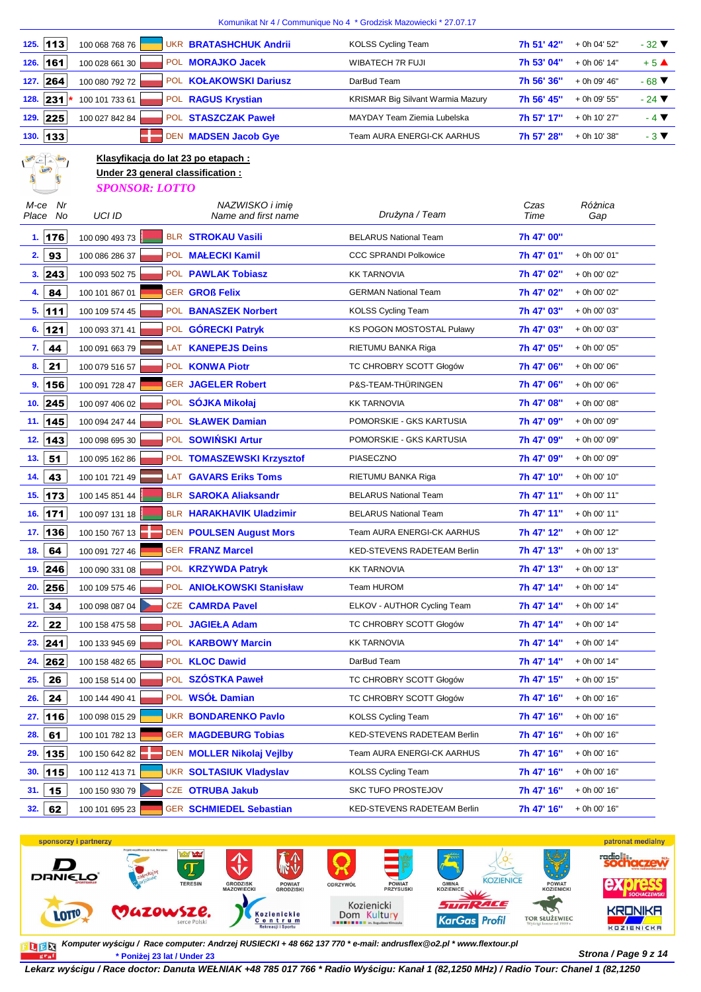|                           |                                                                                                   |                                        | Komunikat Nr 4 / Communique No 4 * Grodzisk Mazowiecki * 27.07.17 |              |                |                            |
|---------------------------|---------------------------------------------------------------------------------------------------|----------------------------------------|-------------------------------------------------------------------|--------------|----------------|----------------------------|
| 113<br>125.               | 100 068 768 76                                                                                    | <b>UKR BRATASHCHUK Andrii</b>          | <b>KOLSS Cycling Team</b>                                         | 7h 51' 42"   | + 0h 04' 52"   | $-32$ $\blacktriangledown$ |
| 161<br>126.               | 100 028 661 30                                                                                    | POL <b>MORAJKO Jacek</b>               | <b>WIBATECH 7R FUJI</b>                                           | 7h 53' 04"   | + 0h 06' 14"   | $+5$ $\triangle$           |
| 264<br>127.               | 100 080 792 72                                                                                    | POL KOŁAKOWSKI Dariusz                 | DarBud Team                                                       | 7h 56' 36"   | + 0h 09' 46"   | $-68$ $\blacktriangledown$ |
| 231<br>128.               | 100 101 733 61                                                                                    | POL RAGUS Krystian                     | KRISMAR Big Silvant Warmia Mazury                                 | 7h 56' 45"   | + 0h 09' 55"   | $-24$ $\blacktriangledown$ |
| 225<br>129.               | 100 027 842 84                                                                                    | POL STASZCZAK Paweł                    | MAYDAY Team Ziemia Lubelska                                       | 7h 57' 17"   | + 0h 10' 27"   | $-4$ $\blacktriangledown$  |
| 133<br>130.               |                                                                                                   | DEN MADSEN Jacob Gye                   | <b>Team AURA ENERGI-CK AARHUS</b>                                 | 7h 57' 28"   | + 0h 10' 38"   | $-3$ $\blacktriangledown$  |
| <b>LOTP, AND ALLER</b>    | Klasyfikacja do lat 23 po etapach :<br>Under 23 general classification :<br><b>SPONSOR: LOTTO</b> |                                        |                                                                   |              |                |                            |
| Nr<br>M-ce<br>Place<br>No | UCI ID                                                                                            | NAZWISKO i imię<br>Name and first name | Drużyna / Team                                                    | Czas<br>Time | Różnica<br>Gap |                            |
| 1. 176                    | 100 090 493 73                                                                                    | <b>BLR STROKAU Vasili</b>              | <b>BELARUS National Team</b>                                      | 7h 47' 00"   |                |                            |
| 2.<br>93                  | 100 086 286 37                                                                                    | POL MALECKI Kamil                      | <b>CCC SPRANDI Polkowice</b>                                      | 7h 47' 01"   | + 0h 00' 01"   |                            |
| 3.  243                   | 100 093 502 75                                                                                    | POL PAWLAK Tobiasz                     | <b>KK TARNOVIA</b>                                                | 7h 47' 02"   | + 0h 00' 02"   |                            |
| 84<br>4.                  | 100 101 867 01                                                                                    | <b>GER GROß Felix</b>                  | <b>GERMAN National Team</b>                                       | 7h 47' 02"   | + 0h 00' 02"   |                            |
| 111<br>5.                 | 100 109 574 45                                                                                    | POL BANASZEK Norbert                   | <b>KOLSS Cycling Team</b>                                         | 7h 47' 03"   | + 0h 00' 03"   |                            |
| 121<br>6.                 | 100 093 371 41                                                                                    | POL GÓRECKI Patryk                     | KS POGON MOSTOSTAL Puławy                                         | 7h 47' 03"   | + 0h 00' 03"   |                            |
| 44<br>7.                  | 100 091 663 79                                                                                    | LAT KANEPEJS Deins                     | RIETUMU BANKA Riga                                                | 7h 47' 05"   | + 0h 00' 05"   |                            |
| 21<br>8.                  | 100 079 516 57                                                                                    | POL KONWA Piotr                        | TC CHROBRY SCOTT Głogów                                           | 7h 47' 06"   | + 0h 00' 06"   |                            |
| 9.<br>156                 | 100 091 728 47                                                                                    | <b>GER JAGELER Robert</b>              | P&S-TEAM-THÜRINGEN                                                | 7h 47' 06"   | + 0h 00' 06"   |                            |
| 245<br>10.                | 100 097 406 02                                                                                    | POL SÓJKA Mikołaj                      | <b>KK TARNOVIA</b>                                                | 7h 47' 08"   | + 0h 00' 08"   |                            |
| 145<br>11.                | 100 094 247 44                                                                                    | POL SŁAWEK Damian                      | POMORSKIE - GKS KARTUSIA                                          | 7h 47' 09"   | + 0h 00' 09"   |                            |
| 143<br>12.                | 100 098 695 30                                                                                    | POL SOWIŃSKI Artur                     | POMORSKIE - GKS KARTUSIA                                          | 7h 47' 09"   | + 0h 00' 09"   |                            |
| 51<br>13.                 | 100 095 162 86                                                                                    | POL TOMASZEWSKI Krzysztof              | PIASECZNO                                                         | 7h 47' 09"   | + 0h 00' 09"   |                            |
| 43<br>14.                 | 100 101 721 49                                                                                    | LAT GAVARS Eriks Toms                  | RIETUMU BANKA Riga                                                | 7h 47' 10"   | + 0h 00' 10"   |                            |
| 173<br>15.                | 100 145 851 44                                                                                    | <b>BLR SAROKA Aliaksandr</b>           | <b>BELARUS National Team</b>                                      | 7h 47' 11"   | + 0h 00' 11"   |                            |
| $171$<br>16.              | 100 097 131 18                                                                                    | <b>BLR HARAKHAVIK Uladzimir</b>        | <b>BELARUS National Team</b>                                      | 7h 47' 11"   | + 0h 00' 11"   |                            |
| 17. 136                   | 100 150 767 13                                                                                    | <b>DEN POULSEN August Mors</b>         | Team AURA ENERGI-CK AARHUS                                        | 7h 47' 12"   | + 0h 00' 12"   |                            |
| 18.<br>64                 | 100 091 727 46                                                                                    | <b>GER FRANZ Marcel</b>                | KED-STEVENS RADETEAM Berlin                                       | 7h 47' 13"   | + 0h 00' 13"   |                            |
| 246<br>19.                | 100 090 331 08                                                                                    | POL <b>KRZYWDA Patryk</b>              | <b>KK TARNOVIA</b>                                                | 7h 47' 13"   | + 0h 00' 13"   |                            |
| 256<br>20.                | 100 109 575 46                                                                                    | POL ANIOŁKOWSKI Stanisław              | Team HUROM                                                        | 7h 47' 14"   | + 0h 00' 14"   |                            |
| 34<br>21.                 | 100 098 087 04                                                                                    | CZE CAMRDA Pavel                       | ELKOV - AUTHOR Cycling Team                                       | 7h 47' 14"   | + 0h 00' 14"   |                            |
| 22<br>22.                 | 100 158 475 58                                                                                    | POL JAGIEŁA Adam                       | TC CHROBRY SCOTT Głogów                                           | 7h 47' 14"   | + 0h 00' 14"   |                            |
| 241<br>23.                | 100 133 945 69                                                                                    | POL KARBOWY Marcin                     | KK TARNOVIA                                                       | 7h 47' 14"   | + 0h 00' 14"   |                            |
| 262<br>24.                | 100 158 482 65                                                                                    | POL KLOC Dawid                         | DarBud Team                                                       | 7h 47' 14"   | + 0h 00' 14"   |                            |
| 26<br>25.                 | 100 158 514 00                                                                                    | POL SZÓSTKA Paweł                      | TC CHROBRY SCOTT Głogów                                           | 7h 47' 15"   | + 0h 00' 15"   |                            |
| 26.<br>24                 | 100 144 490 41                                                                                    | POL WSÓŁ Damian                        | TC CHROBRY SCOTT Głogów                                           | 7h 47' 16"   | + 0h 00' 16"   |                            |
| 116<br>27.                | 100 098 015 29                                                                                    | UKR BONDARENKO Pavlo                   | <b>KOLSS Cycling Team</b>                                         | 7h 47' 16"   | + 0h 00' 16"   |                            |
| 61<br>28.                 | 100 101 782 13                                                                                    | <b>GER MAGDEBURG Tobias</b>            | KED-STEVENS RADETEAM Berlin                                       | 7h 47' 16"   | + 0h 00' 16"   |                            |
| 135<br>29.                | 100 150 642 82                                                                                    | DEN MOLLER Nikolaj Vejlby              | Team AURA ENERGI-CK AARHUS                                        | 7h 47' 16"   | + 0h 00' 16"   |                            |
| 30.<br>115                | 100 112 413 71                                                                                    | <b>UKR SOLTASIUK Vladyslav</b>         | <b>KOLSS Cycling Team</b>                                         | 7h 47' 16"   | + 0h 00' 16"   |                            |
| 31.<br>15                 | 100 150 930 79                                                                                    | CZE OTRUBA Jakub                       | <b>SKC TUFO PROSTEJOV</b>                                         | 7h 47' 16"   | + 0h 00' 16"   |                            |
| 62<br>32.                 | 100 101 695 23                                                                                    | GER SCHMIEDEL Sebastian                | KED-STEVENS RADETEAM Berlin                                       | 7h 47' 16"   | + 0h 00' 16"   |                            |



**Strona / Page 9 z 14 \* Poniżej 23 lat / Under 23 Komputer wy***ś***cigu / Race computer: Andrzej RUSIECKI + 48 662 137 770 \* e-mail: andrusflex@o2.pl \* www.flextour.pl**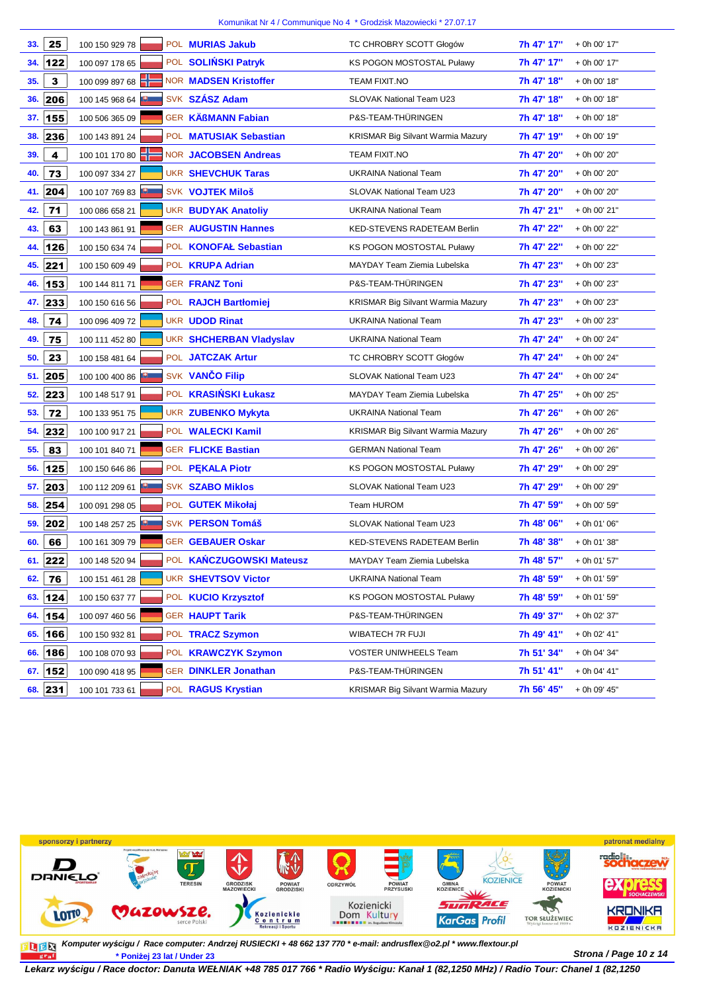| 33. | 25           | 100 150 929 78 | POL <b>MURIAS Jakub</b>        | TC CHROBRY SCOTT Głogów                  | 7h 47' 17" | + 0h 00' 17" |
|-----|--------------|----------------|--------------------------------|------------------------------------------|------------|--------------|
| 34. | 122          | 100 097 178 65 | POL SOLIŃSKI Patryk            | KS POGON MOSTOSTAL Puławy                | 7h 47' 17" | + 0h 00' 17" |
| 35. | $\mathbf{3}$ | 100 099 897 68 | <b>NOR MADSEN Kristoffer</b>   | <b>TEAM FIXIT.NO</b>                     | 7h 47' 18" | + 0h 00' 18" |
| 36. | 206          | 100 145 968 64 | SVK SZÁSZ Adam                 | SLOVAK National Team U23                 | 7h 47' 18" | + 0h 00' 18" |
| 37. | 155          | 100 506 365 09 | GER KÄßMANN Fabian             | P&S-TEAM-THÜRINGEN                       | 7h 47' 18" | + 0h 00' 18" |
| 38. | 236          | 100 143 891 24 | POL MATUSIAK Sebastian         | <b>KRISMAR Big Silvant Warmia Mazury</b> | 7h 47' 19" | + 0h 00' 19" |
| 39. | 4            | 100 101 170 80 | <b>NOR JACOBSEN Andreas</b>    | <b>TEAM FIXIT.NO</b>                     | 7h 47' 20" | + 0h 00' 20" |
| 40. | 73           | 100 097 334 27 | <b>UKR SHEVCHUK Taras</b>      | <b>UKRAINA National Team</b>             | 7h 47' 20" | + 0h 00' 20" |
| 41. | 204          | 100 107 769 83 | <b>SVK VOJTEK Miloš</b>        | SLOVAK National Team U23                 | 7h 47' 20" | + 0h 00' 20" |
| 42. | 71           | 100 086 658 21 | <b>UKR BUDYAK Anatoliy</b>     | <b>UKRAINA National Team</b>             | 7h 47' 21" | + 0h 00' 21" |
| 43. | 63           | 100 143 861 91 | <b>GER AUGUSTIN Hannes</b>     | KED-STEVENS RADETEAM Berlin              | 7h 47' 22" | + 0h 00' 22" |
| 44. | 126          | 100 150 634 74 | POL KONOFAŁ Sebastian          | <b>KS POGON MOSTOSTAL Puławy</b>         | 7h 47' 22" | + 0h 00' 22" |
| 45. | 221          | 100 150 609 49 | POL <b>KRUPA Adrian</b>        | MAYDAY Team Ziemia Lubelska              | 7h 47' 23" | + 0h 00' 23" |
| 46. | 153          | 100 144 811 71 | <b>GER FRANZ Toni</b>          | P&S-TEAM-THÜRINGEN                       | 7h 47' 23" | + 0h 00' 23" |
| 47. | 233          | 100 150 616 56 | POL RAJCH Bartłomiei           | <b>KRISMAR Big Silvant Warmia Mazury</b> | 7h 47' 23" | + 0h 00' 23" |
| 48. | 74           | 100 096 409 72 | <b>UKR UDOD Rinat</b>          | <b>UKRAINA National Team</b>             | 7h 47' 23" | + 0h 00' 23" |
| 49. | 75           | 100 111 452 80 | <b>UKR SHCHERBAN Vladyslav</b> | <b>UKRAINA National Team</b>             | 7h 47' 24" | + 0h 00' 24" |
| 50. | 23           | 100 158 481 64 | POL JATCZAK Artur              | TC CHROBRY SCOTT Głogów                  | 7h 47' 24" | + 0h 00' 24" |
| 51. | 205          | 100 100 400 86 | SVK VANČO Filip                | SLOVAK National Team U23                 | 7h 47' 24" | + 0h 00' 24" |
| 52. | 223          | 100 148 517 91 | POL <b>KRASIŃSKI Łukasz</b>    | MAYDAY Team Ziemia Lubelska              | 7h 47' 25" | + 0h 00' 25" |
| 53. | 72           | 100 133 951 75 | UKR ZUBENKO Mykyta             | <b>UKRAINA National Team</b>             | 7h 47' 26" | + 0h 00' 26" |
| 54. | 232          | 100 100 917 21 | POL WALECKI Kamil              | <b>KRISMAR Big Silvant Warmia Mazury</b> | 7h 47' 26" | + 0h 00' 26" |
| 55. | 83           | 100 101 840 71 | <b>GER FLICKE Bastian</b>      | <b>GERMAN National Team</b>              | 7h 47' 26" | + 0h 00' 26" |
| 56. | 125          | 100 150 646 86 | POL PEKALA Piotr               | <b>KS POGON MOSTOSTAL Puławy</b>         | 7h 47' 29" | + 0h 00' 29" |
| 57. | 203          | 100 112 209 61 | <b>SVK SZABO Miklos</b>        | SLOVAK National Team U23                 | 7h 47' 29" | + 0h 00' 29" |
| 58. | 254          | 100 091 298 05 | POL GUTEK Mikołaj              | Team HUROM                               | 7h 47' 59" | + 0h 00' 59" |
| 59. | 202          | 100 148 257 25 | SVK PERSON Tomáš               | <b>SLOVAK National Team U23</b>          | 7h 48' 06" | + 0h 01' 06" |
| 60. | 66           | 100 161 309 79 | <b>GER GEBAUER Oskar</b>       | <b>KED-STEVENS RADETEAM Berlin</b>       | 7h 48' 38" | + 0h 01' 38" |
|     | $61.$ 222    | 100 148 520 94 | POL KANCZUGOWSKI Mateusz       | MAYDAY Team Ziemia Lubelska              | 7h 48' 57" | + 0h 01' 57" |
| 62. | 76           | 100 151 461 28 | <b>UKR SHEVTSOV Victor</b>     | <b>UKRAINA National Team</b>             | 7h 48' 59" | + 0h 01' 59" |
| 63. | 124          | 100 150 637 77 | POL KUCIO Krzysztof            | <b>KS POGON MOSTOSTAL Puławy</b>         | 7h 48' 59" | + 0h 01' 59" |
| 64. | 154          | 100 097 460 56 | <b>GER HAUPT Tarik</b>         | P&S-TEAM-THÜRINGEN                       | 7h 49' 37" | + 0h 02' 37" |
| 65. | 166          | 100 150 932 81 | POL TRACZ Szymon               | <b>WIBATECH 7R FUJI</b>                  | 7h 49' 41" | + 0h 02' 41" |
| 66. | 186          | 100 108 070 93 | POL KRAWCZYK Szymon            | VOSTER UNIWHEELS Team                    | 7h 51' 34" | + 0h 04' 34" |
| 67. | 152          | 100 090 418 95 | GER DINKLER Jonathan           | P&S-TEAM-THÜRINGEN                       | 7h 51' 41" | + 0h 04' 41" |
| 68. | 231          | 100 101 733 61 | POL RAGUS Krystian             | KRISMAR Big Silvant Warmia Mazury        | 7h 56' 45" | + 0h 09' 45" |



**Strona / Page 10 z 14 \* Poniżej 23 lat / Under 23 Komputer wy***ś***cigu / Race computer: Andrzej RUSIECKI + 48 662 137 770 \* e-mail: andrusflex@o2.pl \* www.flextour.pl**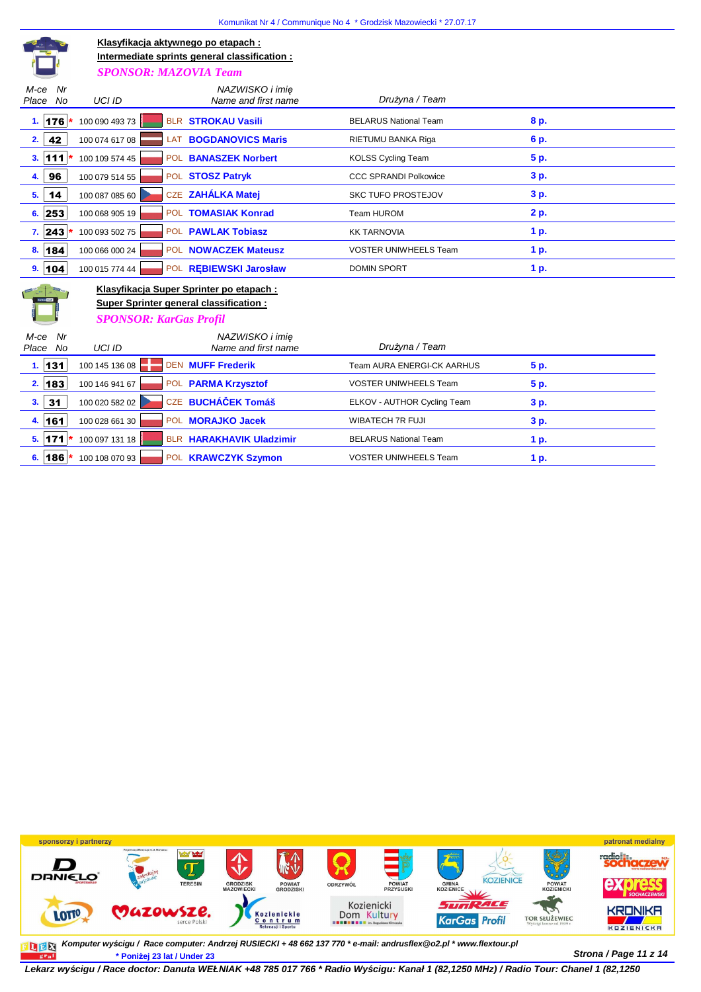| Klasyfikacja aktywnego po etapach:<br>Intermediate sprints general classification :<br><b>SPONSOR: MAZOVIA Team</b> |                |     |                                        |                              |      |
|---------------------------------------------------------------------------------------------------------------------|----------------|-----|----------------------------------------|------------------------------|------|
| Nr<br>M-ce<br><b>No</b><br>Place                                                                                    | <b>UCI ID</b>  |     | NAZWISKO i imie<br>Name and first name | Drużyna / Team               |      |
| 1.176                                                                                                               | 100 090 493 73 |     | BLR STROKAU Vasili                     | <b>BELARUS National Team</b> | 8 p. |
| 42<br>2.                                                                                                            | 100 074 617 08 | LAT | <b>BOGDANOVICS Maris</b>               | RIETUMU BANKA Riga           | 6 p. |
| 111<br>3.                                                                                                           | 100 109 574 45 |     | POL BANASZEK Norbert                   | <b>KOLSS Cycling Team</b>    | 5 p. |
| 96<br>4.                                                                                                            | 100 079 514 55 |     | POL STOSZ Patryk                       | <b>CCC SPRANDI Polkowice</b> | 3 p. |
| 14<br>5.                                                                                                            | 100 087 085 60 |     | CZE ZAHÁLKA Matej                      | <b>SKC TUFO PROSTEJOV</b>    | 3 p. |
| 6.253                                                                                                               | 100 068 905 19 |     | POL TOMASIAK Konrad                    | Team HUROM                   | 2 p. |
| 7.243                                                                                                               | 100 093 502 75 |     | POL PAWLAK Tobiasz                     | <b>KK TARNOVIA</b>           | 1 p. |
| 8.184                                                                                                               | 100 066 000 24 |     | POL NOWACZEK Mateusz                   | <b>VOSTER UNIWHEELS Team</b> | 1 p. |
| 104<br>9.                                                                                                           | 100 015 774 44 |     | POL REBIEWSKI Jarosław                 | <b>DOMIN SPORT</b>           | 1 p. |
| Klasyfikacja Super Sprinter po etapach:<br>Super Sprinter general classification:                                   |                |     |                                        |                              |      |
| <b>SPONSOR: KarGas Profil</b>                                                                                       |                |     |                                        |                              |      |
| Nr<br>M-ce<br>No<br>Place                                                                                           | <b>UCI ID</b>  |     | NAZWISKO i imie<br>Name and first name | Drużyna / Team               |      |
| 1.131                                                                                                               | 100 145 136 08 |     | <b>DEN MUFF Frederik</b>               | Team AURA ENERGI-CK AARHUS   | 5 p. |
| 183<br>2.                                                                                                           | 100 146 941 67 |     | POL PARMA Krzysztof                    | <b>VOSTER UNIWHEELS Team</b> | 5 p. |
| 31<br>3.                                                                                                            | 100 020 582 02 |     | CZE BUCHÁČEK Tomáš                     | ELKOV - AUTHOR Cycling Team  | 3 p. |
| 4. 161                                                                                                              | 100 028 661 30 |     | POL <b>MORAJKO Jacek</b>               | <b>WIBATECH 7R FUJI</b>      | 3 p. |
| 5.  171                                                                                                             | 100 097 131 18 |     | <b>BLR HARAKHAVIK Uladzimir</b>        | <b>BELARUS National Team</b> | 1 p. |
| 186<br>6.                                                                                                           | 100 108 070 93 |     | POL KRAWCZYK Szymon                    | <b>VOSTER UNIWHEELS Team</b> | 1 p. |



**Strona / Page 11 z 14 \* Poniżej 23 lat / Under 23 Komputer wy***ś***cigu / Race computer: Andrzej RUSIECKI + 48 662 137 770 \* e-mail: andrusflex@o2.pl \* www.flextour.pl**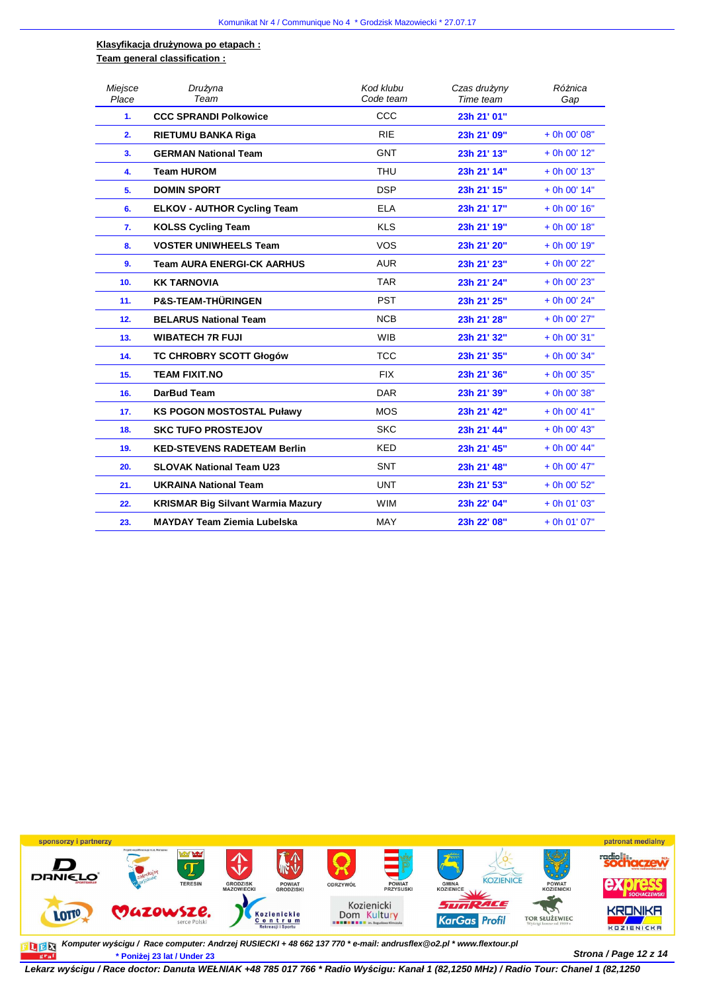#### **Klasyfikacja drużynowa po etapach : Team general classification :**

| Miejsce<br>Place | Drużyna<br>Team                          | Kod klubu<br>Code team | Czas drużyny<br>Time team | Różnica<br>Gap |
|------------------|------------------------------------------|------------------------|---------------------------|----------------|
| 1.               | <b>CCC SPRANDI Polkowice</b>             | CCC                    | 23h 21' 01"               |                |
| 2.               | <b>RIETUMU BANKA Riga</b>                | <b>RIE</b>             | 23h 21' 09"               | + 0h 00' 08"   |
| 3.               | <b>GERMAN National Team</b>              | <b>GNT</b>             | 23h 21' 13"               | + 0h 00' 12"   |
| 4.               | <b>Team HUROM</b>                        | <b>THU</b>             | 23h 21' 14"               | + 0h 00' 13"   |
| 5.               | <b>DOMIN SPORT</b>                       | <b>DSP</b>             | 23h 21' 15"               | $+$ 0h 00' 14" |
| 6.               | <b>ELKOV - AUTHOR Cycling Team</b>       | <b>ELA</b>             | 23h 21' 17"               | $+$ 0h 00' 16" |
| 7.               | <b>KOLSS Cycling Team</b>                | <b>KLS</b>             | 23h 21' 19"               | + 0h 00' 18"   |
| 8.               | <b>VOSTER UNIWHEELS Team</b>             | <b>VOS</b>             | 23h 21' 20"               | + 0h 00' 19"   |
| 9.               | <b>Team AURA ENERGI-CK AARHUS</b>        | <b>AUR</b>             | 23h 21' 23"               | + 0h 00' 22"   |
| 10.              | <b>KK TARNOVIA</b>                       | <b>TAR</b>             | 23h 21' 24"               | + 0h 00' 23"   |
| 11.              | <b>P&amp;S-TEAM-THÜRINGEN</b>            | <b>PST</b>             | 23h 21' 25"               | + 0h 00' 24"   |
| 12.              | <b>BELARUS National Team</b>             | <b>NCB</b>             | 23h 21' 28"               | + 0h 00' 27"   |
| 13.              | <b>WIBATECH 7R FUJI</b>                  | <b>WIB</b>             | 23h 21' 32"               | + 0h 00' 31"   |
| 14.              | <b>TC CHROBRY SCOTT Głogów</b>           | <b>TCC</b>             | 23h 21' 35"               | + 0h 00' 34"   |
| 15.              | <b>TEAM FIXIT.NO</b>                     | <b>FIX</b>             | 23h 21' 36"               | + 0h 00' 35"   |
| 16.              | DarBud Team                              | <b>DAR</b>             | 23h 21' 39"               | + 0h 00' 38"   |
| 17.              | <b>KS POGON MOSTOSTAL Puławy</b>         | <b>MOS</b>             | 23h 21' 42"               | + 0h 00' 41"   |
| 18.              | <b>SKC TUFO PROSTEJOV</b>                | <b>SKC</b>             | 23h 21' 44"               | + 0h 00' 43"   |
| 19.              | <b>KED-STEVENS RADETEAM Berlin</b>       | <b>KED</b>             | 23h 21' 45"               | $+$ 0h 00' 44" |
| 20.              | <b>SLOVAK National Team U23</b>          | <b>SNT</b>             | 23h 21' 48"               | + 0h 00' 47"   |
| 21.              | <b>UKRAINA National Team</b>             | <b>UNT</b>             | 23h 21' 53"               | + 0h 00' 52"   |
| 22.              | <b>KRISMAR Big Silvant Warmia Mazury</b> | <b>WIM</b>             | 23h 22' 04"               | $+$ 0h 01' 03" |
| 23.              | <b>MAYDAY Team Ziemia Lubelska</b>       | MAY                    | 23h 22' 08"               | $+$ 0h 01' 07" |



**Strona / Page 12 z 14 \* Poniżej 23 lat / Under 23 Komputer wy***ś***cigu / Race computer: Andrzej RUSIECKI + 48 662 137 770 \* e-mail: andrusflex@o2.pl \* www.flextour.pl**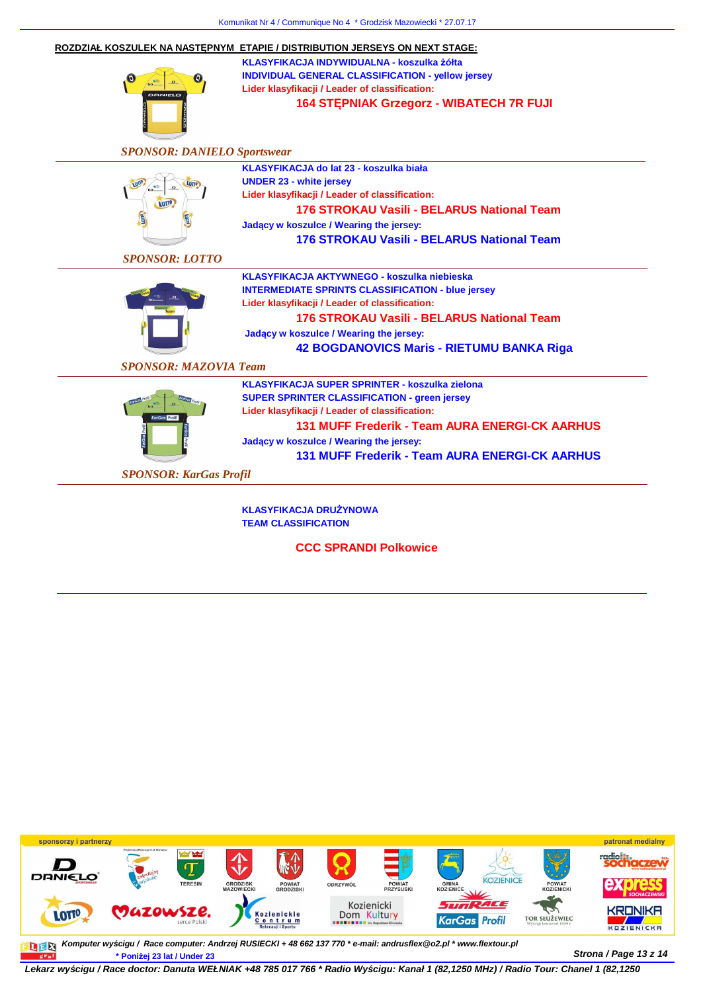| $\boldsymbol{\Theta}$<br>DANIELO               | ROZDZIAŁ KOSZULEK NA NASTEPNYM ETAPIE / DISTRIBUTION JERSEYS ON NEXT STAGE:<br>KLASYFIKACJA INDYWIDUALNA - koszulka żółta<br><b>INDIVIDUAL GENERAL CLASSIFICATION - yellow jersey</b><br>Lider klasyfikacji / Leader of classification:<br>164 STEPNIAK Grzegorz - WIBATECH 7R FUJI                                  |  |  |  |  |  |
|------------------------------------------------|----------------------------------------------------------------------------------------------------------------------------------------------------------------------------------------------------------------------------------------------------------------------------------------------------------------------|--|--|--|--|--|
|                                                | <b>SPONSOR: DANIELO Sportswear</b>                                                                                                                                                                                                                                                                                   |  |  |  |  |  |
| LOTTO<br>LOTTO)<br><b>LOTTO</b>                | KLASYFIKACJA do lat 23 - koszulka biała<br><b>UNDER 23 - white jersey</b><br>Lider klasyfikacji / Leader of classification:<br>176 STROKAU Vasili - BELARUS National Team<br>Jadący w koszulce / Wearing the jersey:<br><b>176 STROKAU Vasili - BELARUS National Team</b>                                            |  |  |  |  |  |
| <b>SPONSOR: LOTTO</b>                          |                                                                                                                                                                                                                                                                                                                      |  |  |  |  |  |
|                                                | KLASYFIKACJA AKTYWNEGO - koszulka niebieska<br><b>INTERMEDIATE SPRINTS CLASSIFICATION - blue jersey</b><br>Lider klasyfikacji / Leader of classification:<br>176 STROKAU Vasili - BELARUS National Team<br>Jadacy w koszulce / Wearing the jersey:<br><b>42 BOGDANOVICS Maris - RIETUMU BANKA Riga</b>               |  |  |  |  |  |
| <b>SPONSOR: MAZOVIA Team</b>                   |                                                                                                                                                                                                                                                                                                                      |  |  |  |  |  |
| KarGas Profil<br><b>SPONSOR: KarGas Profil</b> | <b>KLASYFIKACJA SUPER SPRINTER - koszulka zielona</b><br><b>SUPER SPRINTER CLASSIFICATION - green jersey</b><br>Lider klasyfikacji / Leader of classification:<br>131 MUFF Frederik - Team AURA ENERGI-CK AARHUS<br>Jadacy w koszulce / Wearing the jersey:<br><b>131 MUFF Frederik - Team AURA ENERGI-CK AARHUS</b> |  |  |  |  |  |
|                                                |                                                                                                                                                                                                                                                                                                                      |  |  |  |  |  |
|                                                | <b>KLASYFIKACJA DRUŻYNOWA</b><br><b>TEAM CLASSIFICATION</b>                                                                                                                                                                                                                                                          |  |  |  |  |  |

**CCC SPRANDI Polkowice**



**Komputer wy***ś***cigu / Race computer: Andrzej RUSIECKI + 48 662 137 770 \* e-mail: andrusflex@o2.pl \* www.flextour.plStrona / Page 13 z 14 \* Poniżej 23 lat / Under 23**  $gr_a$ f